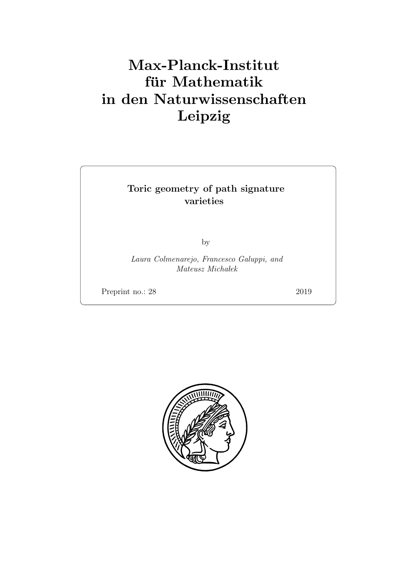# Max-Planck-Institut für Mathematik in den Naturwissenschaften Leipzig

# Toric geometry of path signature varieties

by

Laura Colmenarejo, Francesco Galuppi, and  $Mateusz$   $Michaelke$ 

Preprint no.: 28 2019

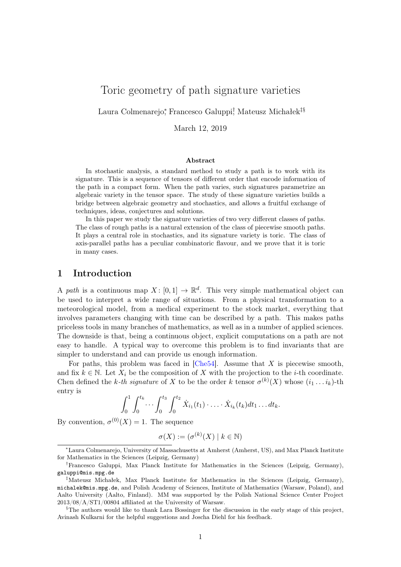# Toric geometry of path signature varieties

Laura Colmenarejo\*, Francesco Galuppi<sup>†</sup>, Mateusz Michałek<sup>‡§</sup>

March 12, 2019

#### Abstract

In stochastic analysis, a standard method to study a path is to work with its signature. This is a sequence of tensors of different order that encode information of the path in a compact form. When the path varies, such signatures parametrize an algebraic variety in the tensor space. The study of these signature varieties builds a bridge between algebraic geometry and stochastics, and allows a fruitful exchange of techniques, ideas, conjectures and solutions.

In this paper we study the signature varieties of two very different classes of paths. The class of rough paths is a natural extension of the class of piecewise smooth paths. It plays a central role in stochastics, and its signature variety is toric. The class of axis-parallel paths has a peculiar combinatoric flavour, and we prove that it is toric in many cases.

### 1 Introduction

A path is a continuous map  $X: [0,1] \to \mathbb{R}^d$ . This very simple mathematical object can be used to interpret a wide range of situations. From a physical transformation to a meteorological model, from a medical experiment to the stock market, everything that involves parameters changing with time can be described by a path. This makes paths priceless tools in many branches of mathematics, as well as in a number of applied sciences. The downside is that, being a continuous object, explicit computations on a path are not easy to handle. A typical way to overcome this problem is to find invariants that are simpler to understand and can provide us enough information.

For paths, this problem was faced in  $[Che54]$ . Assume that X is piecewise smooth, and fix  $k \in \mathbb{N}$ . Let  $X_i$  be the composition of X with the projection to the *i*-th coordinate. Chen defined the k-th signature of X to be the order k tensor  $\sigma^{(k)}(X)$  whose  $(i_1 \ldots i_k)$ -th entry is

$$
\int_0^1 \int_0^{t_k} \cdots \int_0^{t_3} \int_0^{t_2} \dot{X}_{i_1}(t_1) \cdot \cdots \cdot \dot{X}_{i_k}(t_k) dt_1 \ldots dt_k.
$$

By convention,  $\sigma^{(0)}(X) = 1$ . The sequence

$$
\sigma(X) := (\sigma^{(k)}(X) \mid k \in \mathbb{N})
$$

<sup>∗</sup>Laura Colmenarejo, University of Massachusetts at Amherst (Amherst, US), and Max Planck Institute for Mathematics in the Sciences (Leipzig, Germany)

<sup>†</sup>Francesco Galuppi, Max Planck Institute for Mathematics in the Sciences (Leipzig, Germany), galuppi@mis.mpg.de

<sup>‡</sup>Mateusz Michałek, Max Planck Institute for Mathematics in the Sciences (Leipzig, Germany), michalek@mis.mpg.de, and Polish Academy of Sciences, Institute of Mathematics (Warsaw, Poland), and Aalto University (Aalto, Finland). MM was supported by the Polish National Science Center Project 2013/08/A/ST1/00804 affiliated at the University of Warsaw.

<sup>§</sup>The authors would like to thank Lara Bossinger for the discussion in the early stage of this project, Avinash Kulkarni for the helpful suggestions and Joscha Diehl for his feedback.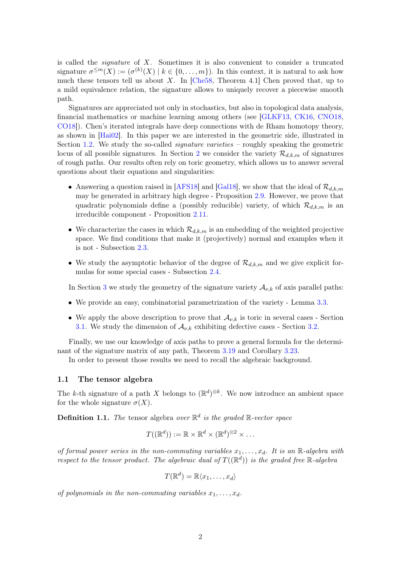is called the *signature* of  $X$ . Sometimes it is also convenient to consider a truncated signature  $\sigma^{\leq m}(X) := (\sigma^{(k)}(X) \mid k \in \{0, \ldots, m\})$ . In this context, it is natural to ask how much these tensors tell us about X. In  $[Che58, Theorem 4.1]$  $[Che58, Theorem 4.1]$  Chen proved that, up to a mild equivalence relation, the signature allows to uniquely recover a piecewise smooth path.

Signatures are appreciated not only in stochastics, but also in topological data analysis, financial mathematics or machine learning among others (see [\[GLKF13,](#page-30-0) [CK16,](#page-29-2) [CNO18,](#page-29-3) [CO18\]](#page-29-4)). Chen's iterated integrals have deep connections with de Rham homotopy theory, as shown in [\[Hai02\]](#page-30-1). In this paper we are interested in the geometric side, illustrated in Section [1.2.](#page-6-0) We study the so-called *signature varieties* – roughly speaking the geometric locus of all possible signatures. In Section [2](#page-6-1) we consider the variety  $\mathcal{R}_{d,k,m}$  of signatures of rough paths. Our results often rely on toric geometry, which allows us to answer several questions about their equations and singularities:

- Answering a question raised in [\[AFS18\]](#page-29-5) and [\[Gal18\]](#page-30-2), we show that the ideal of  $\mathcal{R}_{d,k,m}$ may be generated in arbitrary high degree - Proposition [2.9.](#page-9-0) However, we prove that quadratic polynomials define a (possibly reducible) variety, of which  $\mathcal{R}_{d,k,m}$  is an irreducible component - Proposition [2.11.](#page-11-0)
- We characterize the cases in which  $\mathcal{R}_{d,k,m}$  is an embedding of the weighted projective space. We find conditions that make it (projectively) normal and examples when it is not - Subsection [2.3.](#page-12-0)
- We study the asymptotic behavior of the degree of  $\mathcal{R}_{d,k,m}$  and we give explicit formulas for some special cases - Subsection [2.4.](#page-15-0)

In Section [3](#page-17-0) we study the geometry of the signature variety  $\mathcal{A}_{\nu,k}$  of axis parallel paths:

- We provide an easy, combinatorial parametrization of the variety Lemma [3.3.](#page-18-0)
- We apply the above description to prove that  $\mathcal{A}_{\nu,k}$  is toric in several cases Section [3.1.](#page-19-0) We study the dimension of  $\mathcal{A}_{\nu,k}$  exhibiting defective cases - Section [3.2.](#page-21-0)

Finally, we use our knowledge of axis paths to prove a general formula for the determinant of the signature matrix of any path, Theorem [3.19](#page-23-0) and Corollary [3.23.](#page-24-0)

In order to present those results we need to recall the algebraic background.

#### 1.1 The tensor algebra

The k-th signature of a path X belongs to  $(\mathbb{R}^d)^{\otimes k}$ . We now introduce an ambient space for the whole signature  $\sigma(X)$ .

**Definition 1.1.** The tensor algebra over  $\mathbb{R}^d$  is the graded  $\mathbb{R}$ -vector space

$$
T((\mathbb{R}^d)) := \mathbb{R} \times \mathbb{R}^d \times (\mathbb{R}^d)^{\otimes 2} \times \dots
$$

of formal power series in the non-commuting variables  $x_1, \ldots, x_d$ . It is an R-algebra with respect to the tensor product. The algebraic dual of  $T((\mathbb{R}^d))$  is the graded free  $\mathbb{R}$ -algebra

$$
T(\mathbb{R}^d) = \mathbb{R}\langle x_1, \dots, x_d \rangle
$$

of polynomials in the non-commuting variables  $x_1, \ldots, x_d$ .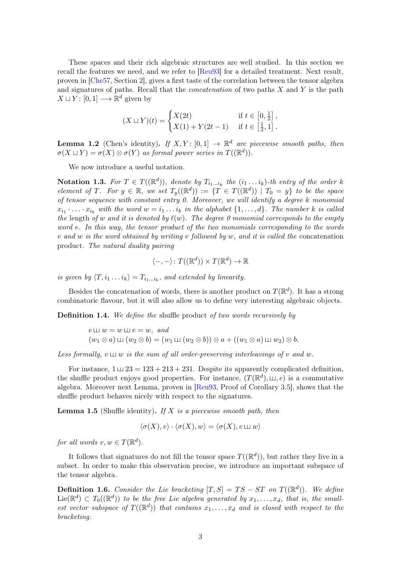These spaces and their rich algebraic structures are well studied. In this section we recall the features we need, and we refer to [\[Reu93\]](#page-30-3) for a detailed treatment. Next result, proven in [\[Che57,](#page-29-6) Section 2], gives a first taste of the correlation between the tensor algebra and signatures of paths. Recall that the *concatenation* of two paths  $X$  and  $Y$  is the path  $X \sqcup Y : [0, 1] \longrightarrow \mathbb{R}^d$  given by

$$
(X \sqcup Y)(t) = \begin{cases} X(2t) & \text{if } t \in [0, \frac{1}{2}], \\ X(1) + Y(2t - 1) & \text{if } t \in [\frac{1}{2}, 1]. \end{cases}
$$

**Lemma 1.2** (Chen's identity). If  $X, Y$ : [0,1]  $\rightarrow \mathbb{R}^d$  are piecewise smooth paths, then  $\sigma(X \sqcup Y) = \sigma(X) \otimes \sigma(Y)$  as formal power series in  $T((\mathbb{R}^d))$ .

We now introduce a useful notation.

**Notation 1.3.** For  $T \in T((\mathbb{R}^d))$ , denote by  $T_{i_1...i_k}$  the  $(i_1...i_k)$ -th entry of the order k element of T. For  $y \in \mathbb{R}$ , we set  $T_y(\mathbb{R}^d) := \{T \in T((\mathbb{R}^d)) \mid T_0 = y\}$  to be the space of tensor sequence with constant entry 0. Moreover, we will identify a degree k monomial  $x_{i_1} \cdot \ldots \cdot x_{i_k}$  with the word  $w = i_1 \ldots i_k$  in the alphabet  $\{1, \ldots, d\}$ . The number k is called the length of w and it is denoted by  $\ell(w)$ . The degree 0 monomial corresponds to the empty word e. In this way, the tensor product of the two monomials corresponding to the words v and w is the word obtained by writing v followed by w, and it is called the concatenation product. The natural duality pairing

$$
\langle -, - \rangle \colon T((\mathbb{R}^d)) \times T(\mathbb{R}^d) \to \mathbb{R}
$$

is given by  $\langle T, i_1 \dots i_k \rangle = T_{i_1 \dots i_k}$ , and extended by linearity.

Besides the concatenation of words, there is another product on  $T(\mathbb{R}^d)$ . It has a strong combinatoric flavour, but it will also allow us to define very interesting algebraic objects.

Definition 1.4. We define the shuffle product of two words recursively by

 $e \sqcup w = w \sqcup e = w$ , and  $(w_1 \otimes a) \sqcup (w_2 \otimes b) = (w_1 \sqcup (w_2 \otimes b)) \otimes a + ((w_1 \otimes a) \sqcup w_2) \otimes b.$ 

Less formally,  $v \sqcup w$  is the sum of all order-preserving interleavings of v and w.

For instance,  $1 \sqcup 23 = 123 + 213 + 231$ . Despite its apparently complicated definition, the shuffle product enjoys good properties. For instance,  $(T(\mathbb{R}^d), \sqcup, e)$  is a commutative algebra. Moreover next Lemma, proven in [\[Reu93,](#page-30-3) Proof of Corollary 3.5], shows that the shuffle product behaves nicely with respect to the signatures.

<span id="page-4-0"></span>**Lemma 1.5** (Shuffle identity). If X is a piecewise smooth path, then

$$
\langle \sigma(X), v \rangle \cdot \langle \sigma(X), w \rangle = \langle \sigma(X), v \sqcup w \rangle
$$

for all words  $v, w \in T(\mathbb{R}^d)$ .

It follows that signatures do not fill the tensor space  $T((\mathbb{R}^d))$ , but rather they live in a subset. In order to make this observation precise, we introduce an important subspace of the tensor algebra.

**Definition 1.6.** Consider the Lie bracketing  $[T, S] = TS - ST$  on  $T((\mathbb{R}^d))$ . We define  $\text{Lie}(\mathbb{R}^d) \subset T_0((\mathbb{R}^d))$  to be the free Lie algebra generated by  $x_1, \ldots, x_d$ , that is, the smallest vector subspace of  $T((\mathbb{R}^d))$  that contains  $x_1, \ldots, x_d$  and is closed with respect to the bracketing.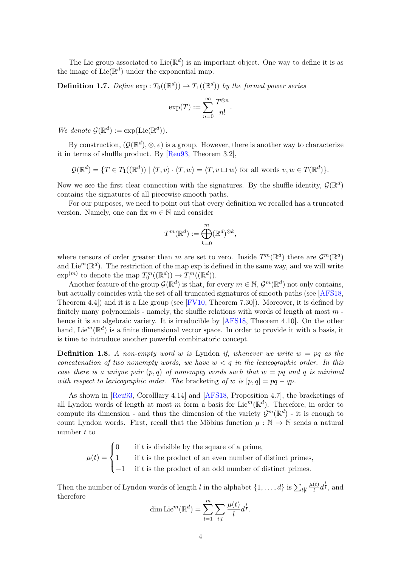The Lie group associated to Lie( $\mathbb{R}^d$ ) is an important object. One way to define it is as the image of  $\text{Lie}(\mathbb{R}^d)$  under the exponential map.

**Definition 1.7.** Define  $\exp: T_0((\mathbb{R}^d)) \to T_1((\mathbb{R}^d))$  by the formal power series

$$
\exp(T) := \sum_{n=0}^{\infty} \frac{T^{\otimes n}}{n!}.
$$

We denote  $\mathcal{G}(\mathbb{R}^d) := \exp(\mathrm{Lie}(\mathbb{R}^d)).$ 

By construction,  $(\mathcal{G}(\mathbb{R}^d), \otimes, e)$  is a group. However, there is another way to characterize it in terms of shuffle product. By [\[Reu93,](#page-30-3) Theorem 3.2],

$$
\mathcal{G}(\mathbb{R}^d) = \{ T \in T_1((\mathbb{R}^d)) \mid \langle T, v \rangle \cdot \langle T, w \rangle = \langle T, v \sqcup w \rangle \text{ for all words } v, w \in T(\mathbb{R}^d) \}.
$$

Now we see the first clear connection with the signatures. By the shuffle identity,  $\mathcal{G}(\mathbb{R}^d)$ contains the signatures of all piecewise smooth paths.

For our purposes, we need to point out that every definition we recalled has a truncated version. Namely, one can fix  $m \in \mathbb{N}$  and consider

$$
T^m(\mathbb{R}^d) := \bigoplus_{k=0}^m (\mathbb{R}^d)^{\otimes k},
$$

where tensors of order greater than m are set to zero. Inside  $T^m(\mathbb{R}^d)$  there are  $\mathcal{G}^m(\mathbb{R}^d)$ and Lie<sup>m</sup>( $\mathbb{R}^d$ ). The restriction of the map exp is defined in the same way, and we will write  $\exp^{(m)}$  to denote the map  $T_0^m((\mathbb{R}^d)) \to T_1^m((\mathbb{R}^d))$ .

Another feature of the group  $\mathcal{G}(\mathbb{R}^d)$  is that, for every  $m \in \mathbb{N}$ ,  $\mathcal{G}^m(\mathbb{R}^d)$  not only contains, but actually coincides with the set of all truncated signatures of smooth paths (see [\[AFS18,](#page-29-5) Theorem 4.4]) and it is a Lie group (see [\[FV10,](#page-30-4) Theorem 7.30]). Moreover, it is defined by finitely many polynomials - namely, the shuffle relations with words of length at most  $m$ . hence it is an algebraic variety. It is irreducible by [\[AFS18,](#page-29-5) Theorem 4.10]. On the other hand, Lie<sup>m</sup>( $\mathbb{R}^d$ ) is a finite dimensional vector space. In order to provide it with a basis, it is time to introduce another powerful combinatoric concept.

**Definition 1.8.** A non-empty word w is Lyndon if, whenever we write  $w = pq$  as the concatenation of two nonempty words, we have  $w < q$  in the lexicographic order. In this case there is a unique pair  $(p,q)$  of nonempty words such that  $w = pq$  and q is minimal with respect to lexicographic order. The bracketing of w is  $[p, q] = pq - qp$ .

As shown in [\[Reu93,](#page-30-3) Corolllary 4.14] and [\[AFS18,](#page-29-5) Proposition 4.7], the bracketings of all Lyndon words of length at most m form a basis for Lie<sup>m</sup>( $\mathbb{R}^d$ ). Therefore, in order to compute its dimension - and thus the dimension of the variety  $\mathcal{G}^m(\mathbb{R}^d)$  - it is enough to count Lyndon words. First, recall that the Möbius function  $\mu : \mathbb{N} \to \mathbb{N}$  sends a natural number  $t$  to

> $\mu(t) =$  $\sqrt{ }$  $\int$  $\overline{\mathcal{L}}$ 0 if  $t$  is divisible by the square of a prime, 1 if  $t$  is the product of an even number of distinct primes, −1 if t is the product of an odd number of distinct primes.

Then the number of Lyndon words of length l in the alphabet  $\{1, \ldots, d\}$  is  $\sum_{t|l}$  $\mu(t)$  $\frac{(t)}{l}d^{\frac{l}{t}},$  and therefore

dim Lie<sup>m</sup>(
$$
\mathbb{R}^d
$$
) =  $\sum_{l=1}^m \sum_{t|l} \frac{\mu(t)}{l} d^{\frac{l}{t}}$ .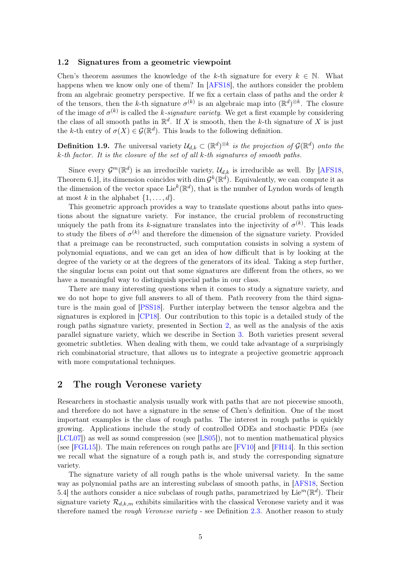#### <span id="page-6-0"></span>1.2 Signatures from a geometric viewpoint

Chen's theorem assumes the knowledge of the k-th signature for every  $k \in \mathbb{N}$ . What happens when we know only one of them? In [\[AFS18\]](#page-29-5), the authors consider the problem from an algebraic geometry perspective. If we fix a certain class of paths and the order k of the tensors, then the k-th signature  $\sigma^{(k)}$  is an algebraic map into  $(\mathbb{R}^d)^{\otimes k}$ . The closure of the image of  $\sigma^{(k)}$  is called the *k*-signature variety. We get a first example by considering the class of all smooth paths in  $\mathbb{R}^d$ . If X is smooth, then the k-th signature of X is just the k-th entry of  $\sigma(X) \in \mathcal{G}(\mathbb{R}^d)$ . This leads to the following definition.

**Definition 1.9.** The universal variety  $\mathcal{U}_{d,k} \subset (\mathbb{R}^d)^{\otimes k}$  is the projection of  $\mathcal{G}(\mathbb{R}^d)$  onto the k-th factor. It is the closure of the set of all k-th signatures of smooth paths.

Since every  $\mathcal{G}^m(\mathbb{R}^d)$  is an irreducible variety,  $\mathcal{U}_{d,k}$  is irreducible as well. By [\[AFS18,](#page-29-5) Theorem 6.1, its dimension coincides with dim  $\mathcal{G}^k(\mathbb{R}^d)$ . Equivalently, we can compute it as the dimension of the vector space Lie<sup>k</sup>( $\mathbb{R}^d$ ), that is the number of Lyndon words of length at most k in the alphabet  $\{1, \ldots, d\}$ .

This geometric approach provides a way to translate questions about paths into questions about the signature variety. For instance, the crucial problem of reconstructing uniquely the path from its k-signature translates into the injectivity of  $\sigma^{(k)}$ . This leads to study the fibers of  $\sigma^{(k)}$  and therefore the dimension of the signature variety. Provided that a preimage can be reconstructed, such computation consists in solving a system of polynomial equations, and we can get an idea of how difficult that is by looking at the degree of the variety or at the degrees of the generators of its ideal. Taking a step further, the singular locus can point out that some signatures are different from the others, so we have a meaningful way to distinguish special paths in our class.

There are many interesting questions when it comes to study a signature variety, and we do not hope to give full answers to all of them. Path recovery from the third signature is the main goal of [\[PSS18\]](#page-30-5). Further interplay between the tensor algebra and the signatures is explored in [\[CP18\]](#page-29-7). Our contribution to this topic is a detailed study of the rough paths signature variety, presented in Section [2,](#page-6-1) as well as the analysis of the axis parallel signature variety, which we describe in Section [3.](#page-17-0) Both varieties present several geometric subtleties. When dealing with them, we could take advantage of a surprisingly rich combinatorial structure, that allows us to integrate a projective geometric approach with more computational techniques.

### <span id="page-6-1"></span>2 The rough Veronese variety

Researchers in stochastic analysis usually work with paths that are not piecewise smooth, and therefore do not have a signature in the sense of Chen's definition. One of the most important examples is the class of rough paths. The interest in rough paths is quickly growing. Applications include the study of controlled ODEs and stochastic PDEs (see [\[LCL07\]](#page-30-6)) as well as sound compression (see [\[LS05\]](#page-30-7)), not to mention mathematical physics (see [\[FGL15\]](#page-29-8)). The main references on rough paths are [\[FV10\]](#page-30-4) and [\[FH14\]](#page-29-9). In this section we recall what the signature of a rough path is, and study the corresponding signature variety.

The signature variety of all rough paths is the whole universal variety. In the same way as polynomial paths are an interesting subclass of smooth paths, in [\[AFS18,](#page-29-5) Section 5.4 the authors consider a nice subclass of rough paths, parametrized by Lie<sup>m</sup>( $\mathbb{R}^d$ ). Their signature variety  $\mathcal{R}_{d,k,m}$  exhibits similarities with the classical Veronese variety and it was therefore named the *rough Veronese variety* - see Definition [2.3.](#page-7-0) Another reason to study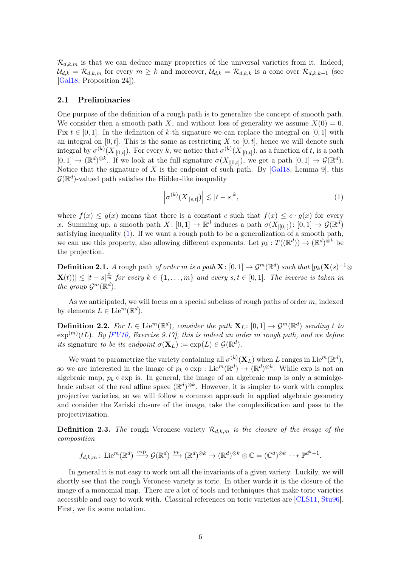$\mathcal{R}_{d,k,m}$  is that we can deduce many properties of the universal varieties from it. Indeed,  $\mathcal{U}_{d,k} = \mathcal{R}_{d,k,m}$  for every  $m \geq k$  and moreover,  $\mathcal{U}_{d,k} = \mathcal{R}_{d,k,k}$  is a cone over  $\mathcal{R}_{d,k,k-1}$  (see [\[Gal18,](#page-30-2) Proposition 24]).

#### 2.1 Preliminaries

One purpose of the definition of a rough path is to generalize the concept of smooth path. We consider then a smooth path X, and without loss of generality we assume  $X(0) = 0$ . Fix  $t \in [0, 1]$ . In the definition of k-th signature we can replace the integral on [0, 1] with an integral on  $[0, t]$ . This is the same as restricting X to  $[0, t]$ , hence we will denote such integral by  $\sigma^{(k)}(X_{|[0,t]})$ . For every k, we notice that  $\sigma^{(k)}(X_{|[0,t]})$ , as a function of t, is a path  $[0,1] \to (\mathbb{R}^d)^{\otimes k}$ . If we look at the full signature  $\sigma(X_{|[0,t[}),$  we get a path  $[0,1] \to \mathcal{G}(\mathbb{R}^d)$ . Notice that the signature of  $X$  is the endpoint of such path. By [\[Gal18,](#page-30-2) Lemma 9], this  $\mathcal{G}(\mathbb{R}^d)$ -valued path satisfies the Hölder-like inequality

<span id="page-7-1"></span>
$$
\left|\sigma^{(k)}(X_{|[s,t]})\right| \lesssim |t-s|^k,\tag{1}
$$

where  $f(x) \leq q(x)$  means that there is a constant c such that  $f(x) \leq c \cdot q(x)$  for every x. Summing up, a smooth path  $X: [0,1] \to \mathbb{R}^d$  induces a path  $\sigma(X_{|[0,1]}) : [0,1] \to \mathcal{G}(\mathbb{R}^d)$ satisfying inequality  $(1)$ . If we want a rough path to be a generalization of a smooth path, we can use this property, also allowing different exponents. Let  $p_k: T((\mathbb{R}^d)) \to (\mathbb{R}^d)^{\otimes k}$  be the projection.

**Definition 2.1.** A rough path of order m is a path  $\mathbf{X}$ :  $[0,1] \to \mathcal{G}^m(\mathbb{R}^d)$  such that  $|p_k(\mathbf{X}(s)^{-1} \otimes$  $|\mathbf{X}(t)| \lesssim |t-s|^{\frac{k}{m}}$  for every  $k \in \{1, \ldots, m\}$  and every  $s, t \in [0, 1]$ . The inverse is taken in the group  $\mathcal{G}^m(\mathbb{R}^d)$ .

As we anticipated, we will focus on a special subclass of rough paths of order  $m$ , indexed by elements  $L \in \mathrm{Lie}^m(\mathbb{R}^d)$ .

**Definition 2.2.** For  $L \in \text{Lie}^m(\mathbb{R}^d)$ , consider the path  $\mathbf{X}_L : [0,1] \to \mathcal{G}^m(\mathbb{R}^d)$  sending t to  $\exp^{(m)}(tL)$ . By [\[FV10,](#page-30-4) Exercise 9.17], this is indeed an order m rough path, and we define its signature to be its endpoint  $\sigma(\mathbf{X}_L) := \exp(L) \in \mathcal{G}(\mathbb{R}^d)$ .

We want to parametrize the variety containing all  $\sigma^{(k)}(\mathbf{X}_L)$  when L ranges in Lie<sup>m</sup>( $\mathbb{R}^d$ ), so we are interested in the image of  $p_k \circ \exp : \mathrm{Lie}^m(\mathbb{R}^d) \to (\mathbb{R}^d)^{\otimes k}$ . While  $\exp$  is not an algebraic map,  $p_k \circ \exp$  is. In general, the image of an algebraic map is only a semialgebraic subset of the real affine space  $(\mathbb{R}^d)^{\otimes k}$ . However, it is simpler to work with complex projective varieties, so we will follow a common approach in applied algebraic geometry and consider the Zariski closure of the image, take the complexification and pass to the projectivization.

<span id="page-7-0"></span>**Definition 2.3.** The rough Veronese variety  $\mathcal{R}_{d,k,m}$  is the closure of the image of the composition

$$
f_{d,k,m}\colon \operatorname{Lie}^m(\mathbb{R}^d)\xrightarrow{\exp} \mathcal{G}(\mathbb{R}^d)\xrightarrow{p_k} (\mathbb{R}^d)^{\otimes k} \to (\mathbb{R}^d)^{\otimes k}\otimes \mathbb{C} = (\mathbb{C}^d)^{\otimes k} \dashrightarrow \mathbb{P}^{d^k-1}.
$$

In general it is not easy to work out all the invariants of a given variety. Luckily, we will shortly see that the rough Veronese variety is toric. In other words it is the closure of the image of a monomial map. There are a lot of tools and techniques that make toric varieties accessible and easy to work with. Classical references on toric varieties are [\[CLS11,](#page-29-10) [Stu96\]](#page-30-8). First, we fix some notation.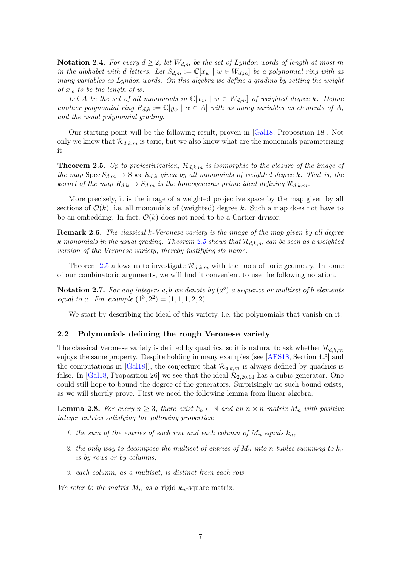<span id="page-8-2"></span>Notation 2.4. For every  $d \geq 2$ , let  $W_{d,m}$  be the set of Lyndon words of length at most m in the alphabet with d letters. Let  $S_{d,m} := \mathbb{C}[x_w \mid w \in W_{d,m}]$  be a polynomial ring with as many variables as Lyndon words. On this algebra we define a grading by setting the weight of  $x_w$  to be the length of w.

Let A be the set of all monomials in  $\mathbb{C}[x_w \mid w \in W_{d,m}]$  of weighted degree k. Define another polynomial ring  $R_{d,k} := \mathbb{C}[y_\alpha \mid \alpha \in A]$  with as many variables as elements of A, and the usual polynomial grading.

Our starting point will be the following result, proven in [\[Gal18,](#page-30-2) Proposition 18]. Not only we know that  $\mathcal{R}_{d,k,m}$  is toric, but we also know what are the monomials parametrizing it.

<span id="page-8-0"></span>**Theorem 2.5.** Up to projectivization,  $\mathcal{R}_{d,k,m}$  is isomorphic to the closure of the image of the map  $Spec S_{d,m} \to Spec R_{d,k}$  given by all monomials of weighted degree k. That is, the kernel of the map  $R_{d,k} \to S_{d,m}$  is the homogeneous prime ideal defining  $\mathcal{R}_{d,k,m}$ .

More precisely, it is the image of a weighted projective space by the map given by all sections of  $\mathcal{O}(k)$ , i.e. all monomials of (weighted) degree k. Such a map does not have to be an embedding. In fact,  $\mathcal{O}(k)$  does not need to be a Cartier divisor.

**Remark 2.6.** The classical k-Veronese variety is the image of the map given by all degree k monomials in the usual grading. Theorem [2.5](#page-8-0) shows that  $\mathcal{R}_{d,k,m}$  can be seen as a weighted version of the Veronese variety, thereby justifying its name.

Theorem [2.5](#page-8-0) allows us to investigate  $\mathcal{R}_{d,k,m}$  with the tools of toric geometry. In some of our combinatoric arguments, we will find it convenient to use the following notation.

**Notation 2.7.** For any integers a, b we denote by  $(a^b)$  a sequence or multiset of b elements equal to a. For example  $(1^3, 2^2) = (1, 1, 1, 2, 2)$ .

We start by describing the ideal of this variety, i.e. the polynomials that vanish on it.

#### 2.2 Polynomials defining the rough Veronese variety

The classical Veronese variety is defined by quadrics, so it is natural to ask whether  $\mathcal{R}_{d,k,m}$ enjoys the same property. Despite holding in many examples (see [\[AFS18,](#page-29-5) Section 4.3] and the computations in [\[Gal18\]](#page-30-2)), the conjecture that  $\mathcal{R}_{d,k,m}$  is always defined by quadrics is false. In [\[Gal18,](#page-30-2) Proposition 26] we see that the ideal  $\mathcal{R}_{2,20,14}$  has a cubic generator. One could still hope to bound the degree of the generators. Surprisingly no such bound exists, as we will shortly prove. First we need the following lemma from linear algebra.

<span id="page-8-1"></span>**Lemma 2.8.** For every  $n \geq 3$ , there exist  $k_n \in \mathbb{N}$  and an  $n \times n$  matrix  $M_n$  with positive integer entries satisfying the following properties:

- 1. the sum of the entries of each row and each column of  $M_n$  equals  $k_n$ ,
- 2. the only way to decompose the multiset of entries of  $M_n$  into n-tuples summing to  $k_n$ is by rows or by columns,
- 3. each column, as a multiset, is distinct from each row.

We refer to the matrix  $M_n$  as a rigid  $k_n$ -square matrix.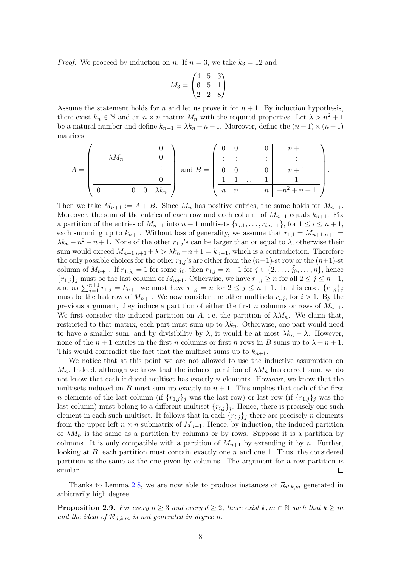*Proof.* We proceed by induction on n. If  $n = 3$ , we take  $k_3 = 12$  and

$$
M_3 = \begin{pmatrix} 4 & 5 & 3 \\ 6 & 5 & 1 \\ 2 & 2 & 8 \end{pmatrix}.
$$

Assume the statement holds for n and let us prove it for  $n + 1$ . By induction hypothesis, there exist  $k_n \in \mathbb{N}$  and an  $n \times n$  matrix  $M_n$  with the required properties. Let  $\lambda > n^2 + 1$ be a natural number and define  $k_{n+1} = \lambda k_n + n+1$ . Moreover, define the  $(n+1) \times (n+1)$ matrices

$$
A = \begin{pmatrix} \lambda M_n & 0 \\ 0 & \lambda M_n & \vdots \\ \hline 0 & \dots & 0 & 0 \end{pmatrix} \text{ and } B = \begin{pmatrix} 0 & 0 & \dots & 0 & n+1 \\ \vdots & \vdots & & \vdots & \vdots & \vdots \\ 0 & 0 & \dots & 0 & n+1 \\ \hline 1 & 1 & \dots & 1 & 1 \\ n & n & \dots & n & -n^2 + n + 1 \end{pmatrix}.
$$

Then we take  $M_{n+1} := A + B$ . Since  $M_n$  has positive entries, the same holds for  $M_{n+1}$ . Moreover, the sum of the entries of each row and each column of  $M_{n+1}$  equals  $k_{n+1}$ . Fix a partition of the entries of  $M_{n+1}$  into  $n+1$  multisets  $\{r_{i,1},\ldots,r_{i,n+1}\}$ , for  $1 \leq i \leq n+1$ , each summing up to  $k_{n+1}$ . Without loss of generality, we assume that  $r_{1,1} = M_{n+1,n+1}$  $\lambda k_n - n^2 + n + 1$ . None of the other  $r_{1,j}$ 's can be larger than or equal to  $\lambda$ , otherwise their sum would exceed  $M_{n+1,n+1} + \lambda > \lambda k_n + n+1 = k_{n+1}$ , which is a contradiction. Therefore the only possible choices for the other  $r_{1,j}$ 's are either from the  $(n+1)$ -st row or the  $(n+1)$ -st column of  $M_{n+1}$ . If  $r_{1,j_0} = 1$  for some  $j_0$ , then  $r_{1,j} = n+1$  for  $j \in \{2, ..., j_0, ..., n\}$ , hence  ${r_{1,j}}_j$  must be the last column of  $M_{n+1}$ . Otherwise, we have  $r_{1,j} \ge n$  for all  $2 \le j \le n+1$ , and as  $\sum_{j=1}^{n+1} r_{1,j} = k_{n+1}$  we must have  $r_{1,j} = n$  for  $2 \le j \le n+1$ . In this case,  $\{r_{1,j}\}_j$ must be the last row of  $M_{n+1}$ . We now consider the other multisets  $r_{i,j}$ , for  $i > 1$ . By the previous argument, they induce a partition of either the first n columns or rows of  $M_{n+1}$ . We first consider the induced partition on A, i.e. the partition of  $\lambda M_n$ . We claim that, restricted to that matrix, each part must sum up to  $\lambda k_n$ . Otherwise, one part would need to have a smaller sum, and by divisibility by  $\lambda$ , it would be at most  $\lambda k_n - \lambda$ . However, none of the  $n+1$  entries in the first n columns or first n rows in B sums up to  $\lambda + n + 1$ . This would contradict the fact that the multiset sums up to  $k_{n+1}$ .

We notice that at this point we are not allowed to use the inductive assumption on  $M_n$ . Indeed, although we know that the induced partition of  $\lambda M_n$  has correct sum, we do not know that each induced multiset has exactly  $n$  elements. However, we know that the multisets induced on B must sum up exactly to  $n + 1$ . This implies that each of the first n elements of the last column (if  $\{r_{1,j}\}\,$  was the last row) or last row (if  $\{r_{1,j}\}\,$  was the last column) must belong to a different multiset  $\{r_{i,j}\}_j$ . Hence, there is precisely one such element in each such multiset. It follows that in each  ${r_{i,j}}_j$  there are precisely n elements from the upper left  $n \times n$  submatrix of  $M_{n+1}$ . Hence, by induction, the induced partition of  $\lambda M_n$  is the same as a partition by columns or by rows. Suppose it is a partition by columns. It is only compatible with a partition of  $M_{n+1}$  by extending it by n. Further, looking at  $B$ , each partition must contain exactly one  $n$  and one 1. Thus, the considered partition is the same as the one given by columns. The argument for a row partition is similar.  $\Box$ 

Thanks to Lemma [2.8,](#page-8-1) we are now able to produce instances of  $\mathcal{R}_{d,k,m}$  generated in arbitrarily high degree.

<span id="page-9-0"></span>**Proposition 2.9.** For every  $n \geq 3$  and every  $d \geq 2$ , there exist  $k, m \in \mathbb{N}$  such that  $k \geq m$ and the ideal of  $\mathcal{R}_{d,k,m}$  is not generated in degree n.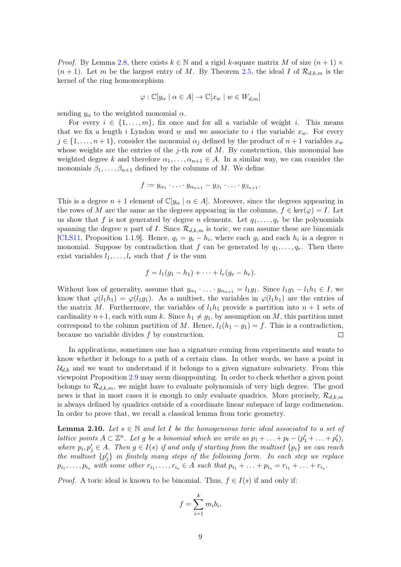*Proof.* By Lemma [2.8,](#page-8-1) there exists  $k \in \mathbb{N}$  and a rigid k-square matrix M of size  $(n + 1) \times$  $(n+1)$ . Let m be the largest entry of M. By Theorem [2.5,](#page-8-0) the ideal I of  $\mathcal{R}_{d,k,m}$  is the kernel of the ring homomorphism

$$
\varphi : \mathbb{C}[y_\alpha \mid \alpha \in A] \to \mathbb{C}[x_w \mid w \in W_{d,m}]
$$

sending  $y_{\alpha}$  to the weighted monomial  $\alpha$ .

For every  $i \in \{1, \ldots, m\}$ , fix once and for all a variable of weight i. This means that we fix a length i Lyndon word w and we associate to i the variable  $x_w$ . For every  $j \in \{1, \ldots, n+1\}$ , consider the monomial  $\alpha_j$  defined by the product of  $n+1$  variables  $x_w$ whose weights are the entries of the j-th row of  $M$ . By construction, this monomial has weighted degree k and therefore  $\alpha_1, \ldots, \alpha_{n+1} \in A$ . In a similar way, we can consider the monomials  $\beta_1, \ldots, \beta_{n+1}$  defined by the columns of M. We define

$$
f := y_{\alpha_1} \cdot \ldots \cdot y_{\alpha_{n+1}} - y_{\beta_1} \cdot \ldots \cdot y_{\beta_{n+1}}.
$$

This is a degree  $n + 1$  element of  $\mathbb{C}[y_\alpha \mid \alpha \in A]$ . Moreover, since the degrees appearing in the rows of M are the same as the degrees appearing in the columns,  $f \in \text{ker}(\varphi) = I$ . Let us show that f is not generated by degree n elements. Let  $q_1, \ldots, q_r$  be the polynomials spanning the degree n part of I. Since  $\mathcal{R}_{d,k,m}$  is toric, we can assume these are binomials [\[CLS11,](#page-29-10) Proposition 1.1.9]. Hence,  $q_i = g_i - h_i$ , where each  $g_i$  and each  $h_i$  is a degree n monomial. Suppose by contradiction that f can be generated by  $q_1, \ldots, q_r$ . Then there exist variables  $l_1, \ldots, l_r$  such that f is the sum

$$
f = l_1(g_1 - h_1) + \cdots + l_r(g_r - h_r).
$$

Without loss of generality, assume that  $y_{\alpha_1} \cdot \ldots \cdot y_{\alpha_{n+1}} = l_1 g_1$ . Since  $l_1 g_1 - l_1 h_1 \in I$ , we know that  $\varphi(l_1h_1) = \varphi(l_1g_1)$ . As a multiset, the variables in  $\varphi(l_1h_1)$  are the entries of the matrix M. Furthermore, the variables of  $l_1h_1$  provide a partition into  $n+1$  sets of cardinality  $n+1$ , each with sum k. Since  $h_1 \neq g_1$ , by assumption on M, this partition must correspond to the column partition of M. Hence,  $l_1(h_1 - g_1) = f$ . This is a contradiction, because no variable divides  $f$  by construction.  $\Box$ 

In applications, sometimes one has a signature coming from experiments and wants to know whether it belongs to a path of a certain class. In other words, we have a point in  $\mathcal{U}_{d,k}$  and we want to understand if it belongs to a given signature subvariety. From this viewpoint Proposition [2.9](#page-9-0) may seem disappointing. In order to check whether a given point belongs to  $\mathcal{R}_{d,k,m}$ , we might have to evaluate polynomials of very high degree. The good news is that in most cases it is enough to only evaluate quadrics. More precisely,  $\mathcal{R}_{d,k,m}$ is always defined by quadrics outside of a coordinate linear subspace of large codimension. In order to prove that, we recall a classical lemma from toric geometry.

<span id="page-10-0"></span>**Lemma 2.10.** Let  $s \in \mathbb{N}$  and let I be the homogeneous toric ideal associated to a set of lattice points  $A \subset \mathbb{Z}^n$ . Let g be a binomial which we write as  $p_1 + \ldots + p_t - (p'_1 + \ldots + p'_t)$ , where  $p_i, p'_j \in A$ . Then  $g \in I(s)$  if and only if starting from the multiset  $\{p_i\}$  we can reach the multiset  $\{p'_j\}$  in finitely many steps of the following form. In each step we replace  $p_{i_1}, \ldots, p_{i_s}$  with some other  $r_{i_1}, \ldots, r_{i_s} \in A$  such that  $p_{i_1} + \ldots + p_{i_s} = r_{i_1} + \ldots + r_{i_s}$ .

*Proof.* A toric ideal is known to be binomial. Thus,  $f \in I(s)$  if and only if:

$$
f = \sum_{i=1}^{k} m_i b_i,
$$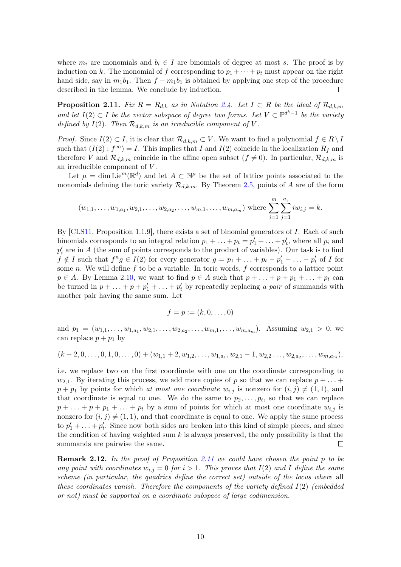where  $m_i$  are monomials and  $b_i \in I$  are binomials of degree at most s. The proof is by induction on k. The monomial of f corresponding to  $p_1 + \cdots + p_t$  must appear on the right hand side, say in  $m_1b_1$ . Then  $f - m_1b_1$  is obtained by applying one step of the procedure described in the lemma. We conclude by induction.  $\Box$ 

<span id="page-11-0"></span>**Proposition 2.11.** Fix  $R = R_{d,k}$  as in Notation [2.4.](#page-8-2) Let  $I \subset R$  be the ideal of  $\mathcal{R}_{d,k,m}$ and let  $I(2)$  ⊂ I be the vector subspace of degree two forms. Let  $V \subset \mathbb{P}^{d^k-1}$  be the variety defined by  $I(2)$ . Then  $\mathcal{R}_{d,k,m}$  is an irreducible component of V.

*Proof.* Since  $I(2) \subset I$ , it is clear that  $\mathcal{R}_{d,k,m} \subset V$ . We want to find a polynomial  $f \in R \setminus I$ such that  $(I(2) : f^{\infty}) = I$ . This implies that I and  $I(2)$  coincide in the localization  $R_f$  and therefore V and  $\mathcal{R}_{d,k,m}$  coincide in the affine open subset  $(f \neq 0)$ . In particular,  $\mathcal{R}_{d,k,m}$  is an irreducible component of  $V$ .

Let  $\mu = \dim \mathrm{Lie}^m(\mathbb{R}^d)$  and let  $A \subset \mathbb{N}^\mu$  be the set of lattice points associated to the monomials defining the toric variety  $\mathcal{R}_{d,k,m}$ . By Theorem [2.5,](#page-8-0) points of A are of the form

$$
(w_{1,1},\ldots,w_{1,a_1},w_{2,1},\ldots,w_{2,a_2},\ldots,w_{m,1},\ldots,w_{m,a_m})
$$
 where  $\sum_{i=1}^m\sum_{j=1}^{a_i}iw_{i,j}=k$ .

By  $[CLS11,$  Proposition 1.1.9], there exists a set of binomial generators of I. Each of such binomials corresponds to an integral relation  $p_1 + \ldots + p_t = p'_1 + \ldots + p'_t$ , where all  $p_i$  and  $p'_i$  are in A (the sum of points corresponds to the product of variables). Our task is to find  $f \notin I$  such that  $f^n g \in I(2)$  for every generator  $g = p_1 + \ldots + p_t - p'_1 - \ldots - p'_t$  of I for some n. We will define f to be a variable. In toric words, f corresponds to a lattice point  $p \in A$ . By Lemma [2.10,](#page-10-0) we want to find  $p \in A$  such that  $p + \ldots + p + p_1 + \ldots + p_t$  can be turned in  $p + \ldots + p + p'_1 + \ldots + p'_t$  by repeatedly replacing a pair of summands with another pair having the same sum. Let

$$
f=p:=(k,0,\ldots,0)
$$

and  $p_1 = (w_{1,1}, \ldots, w_{1,a_1}, w_{2,1}, \ldots, w_{2,a_2}, \ldots, w_{m,1}, \ldots, w_{m,a_m})$ . Assuming  $w_{2,1} > 0$ , we can replace  $p + p_1$  by

$$
(k-2,0,\ldots,0,1,0,\ldots,0)+(w_{1,1}+2,w_{1,2},\ldots,w_{1,a_1},w_{2,1}-1,w_{2,2}\ldots,w_{2,a_2},\ldots,w_{m,a_m}),
$$

i.e. we replace two on the first coordinate with one on the coordinate corresponding to  $w_{2,1}$ . By iterating this process, we add more copies of p so that we can replace  $p + \ldots$  $p + p_1$  by points for which at most one coordinate  $w_{i,j}$  is nonzero for  $(i, j) \neq (1, 1)$ , and that coordinate is equal to one. We do the same to  $p_2, \ldots, p_t$ , so that we can replace  $p + \ldots + p + p_1 + \ldots + p_t$  by a sum of points for which at most one coordinate  $w_{i,j}$  is nonzero for  $(i, j) \neq (1, 1)$ , and that coordinate is equal to one. We apply the same process to  $p'_1 + \ldots + p'_t$ . Since now both sides are broken into this kind of simple pieces, and since the condition of having weighted sum  $k$  is always preserved, the only possibility is that the summands are pairwise the same.  $\Box$ 

**Remark 2.12.** In the proof of Proposition [2.11](#page-11-0) we could have chosen the point  $p$  to be any point with coordinates  $w_{i,j} = 0$  for  $i > 1$ . This proves that  $I(2)$  and I define the same scheme (in particular, the quadrics define the correct set) outside of the locus where all these coordinates vanish. Therefore the components of the variety defined  $I(2)$  (embedded or not) must be supported on a coordinate subspace of large codimension.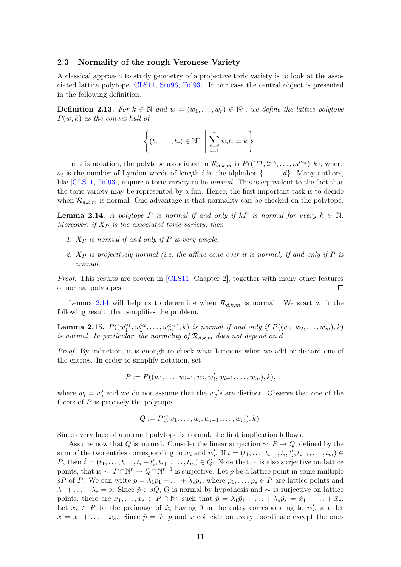#### <span id="page-12-0"></span>2.3 Normality of the rough Veronese Variety

A classical approach to study geometry of a projective toric variety is to look at the associated lattice polytope [\[CLS11,](#page-29-10) [Stu96,](#page-30-8) [Ful93\]](#page-29-11). In our case the central object is presented in the following definition.

**Definition 2.13.** For  $k \in \mathbb{N}$  and  $w = (w_1, \ldots, w_r) \in \mathbb{N}^r$ , we define the lattice polytope  $P(w, k)$  as the convex hull of

$$
\left\{ (t_1, \ldots, t_r) \in \mathbb{N}^r \mid \sum_{i=1}^r w_i t_i = k \right\}.
$$

In this notation, the polytope associated to  $\mathcal{R}_{d,k,m}$  is  $P((1^{a_1}, 2^{a_2}, \ldots, m^{a_m}), k)$ , where  $a_i$  is the number of Lyndon words of length i in the alphabet  $\{1, \ldots, d\}$ . Many authors, like [\[CLS11,](#page-29-10) [Ful93\]](#page-29-11), require a toric variety to be *normal*. This is equivalent to the fact that the toric variety may be represented by a fan. Hence, the first important task is to decide when  $\mathcal{R}_{d,k,m}$  is normal. One advantage is that normality can be checked on the polytope.

<span id="page-12-1"></span>**Lemma 2.14.** A polytope P is normal if and only if kP is normal for every  $k \in \mathbb{N}$ . Moreover, if  $X_P$  is the associated toric variety, then

- 1.  $X_P$  is normal if and only if P is very ample,
- 2.  $X_P$  is projectively normal (i.e. the affine cone over it is normal) if and only if P is normal.

Proof. This results are proven in [\[CLS11,](#page-29-10) Chapter 2], together with many other features of normal polytopes.  $\Box$ 

Lemma [2.14](#page-12-1) will help us to determine when  $\mathcal{R}_{d,k,m}$  is normal. We start with the following result, that simplifies the problem.

<span id="page-12-2"></span>**Lemma 2.15.**  $P((w_1^{a_1}, w_2^{a_2}, \ldots, w_m^{a_m}), k)$  is normal if and only if  $P((w_1, w_2, \ldots, w_m), k)$ is normal. In particular, the normality of  $\mathcal{R}_{d,k,m}$  does not depend on d.

Proof. By induction, it is enough to check what happens when we add or discard one of the entries. In order to simplify notation, set

$$
P := P((w_1, \ldots, w_{i-1}, w_i, w'_i, w_{i+1}, \ldots, w_m), k),
$$

where  $w_i = w'_i$  and we do not assume that the  $w_j$ 's are distinct. Observe that one of the facets of  $P$  is precisely the polytope

$$
Q:=P((w_1,\ldots,w_i,w_{i+1},\ldots,w_m),k).
$$

Since every face of a normal polytope is normal, the first implication follows.

Assume now that Q is normal. Consider the linear surjection  $\sim P \rightarrow Q$ , defined by the sum of the two entries corresponding to  $w_i$  and  $w'_i$ . If  $t = (t_1, \ldots, t_{i-1}, t_i, t'_i, t_{i+1}, \ldots, t_m) \in$ P, then  $\tilde{t} = (t_1, \ldots, t_{i-1}, t_i + t'_i, t_{i+1}, \ldots, t_m) \in Q$ . Note that  $\sim$  is also surjective on lattice points, that is  $\sim: P \cap \mathbb{N}^r \to Q \cap \mathbb{N}^{r-1}$  is surjective. Let p be a lattice point in some multiple sP of P. We can write  $p = \lambda_1 p_1 + \ldots + \lambda_s p_s$ , where  $p_1, \ldots, p_s \in P$  are lattice points and  $\lambda_1 + \ldots + \lambda_s = s$ . Since  $\tilde{p} \in sQ$ , Q is normal by hypothesis and  $\sim$  is surjective on lattice points, there are  $x_1, \ldots, x_s \in P \cap \mathbb{N}^r$  such that  $\tilde{p} = \lambda_1 \tilde{p}_1 + \ldots + \lambda_s \tilde{p}_s = \tilde{x}_1 + \ldots + \tilde{x}_s$ . Let  $x_i \in P$  be the preimage of  $\tilde{x}_i$  having 0 in the entry corresponding to  $w'_i$ , and let  $x = x_1 + \ldots + x_s$ . Since  $\tilde{p} = \tilde{x}$ , p and x coincide on every coordinate except the ones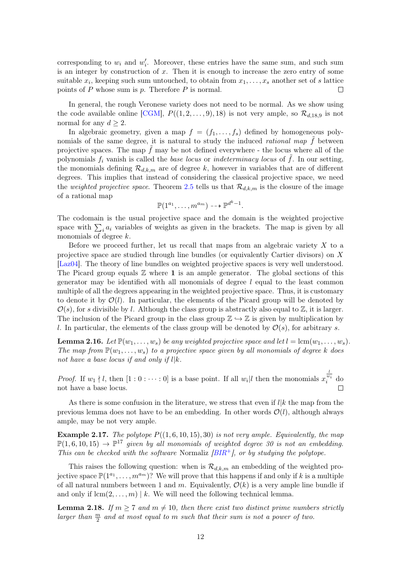corresponding to  $w_i$  and  $w'_i$ . Moreover, these entries have the same sum, and such sum is an integer by construction of  $x$ . Then it is enough to increase the zero entry of some suitable  $x_i$ , keeping such sum untouched, to obtain from  $x_1, \ldots, x_s$  another set of s lattice points of  $P$  whose sum is  $p$ . Therefore  $P$  is normal.  $\Box$ 

In general, the rough Veronese variety does not need to be normal. As we show using the code available online [\[CGM\]](#page-29-12),  $P((1, 2, \ldots, 9), 18)$  is not very ample, so  $\mathcal{R}_{d,18,9}$  is not normal for any  $d > 2$ .

In algebraic geometry, given a map  $f = (f_1, \ldots, f_s)$  defined by homogeneous polynomials of the same degree, it is natural to study the induced *rational map*  $\hat{f}$  between projective spaces. The map  $f$  may be not defined everywhere - the locus where all of the polynomials  $f_i$  vanish is called the *base locus* or *indeterminacy locus* of  $\tilde{f}$ . In our setting, the monomials defining  $\mathcal{R}_{d,k,m}$  are of degree k, however in variables that are of different degrees. This implies that instead of considering the classical projective space, we need the weighted projective space. Theorem [2.5](#page-8-0) tells us that  $\mathcal{R}_{d,k,m}$  is the closure of the image of a rational map

$$
\mathbb{P}(1^{a_1},\ldots,n^{a_m})\dashrightarrow \mathbb{P}^{d^k-1}.
$$

The codomain is the usual projective space and the domain is the weighted projective space with  $\sum_i a_i$  variables of weights as given in the brackets. The map is given by all monomials of degree k.

Before we proceed further, let us recall that maps from an algebraic variety  $X$  to a projective space are studied through line bundles (or equivalently Cartier divisors) on X [\[Laz04\]](#page-30-9). The theory of line bundles on weighted projective spaces is very well understood. The Picard group equals  $\mathbb Z$  where 1 is an ample generator. The global sections of this generator may be identified with all monomials of degree  $l$  equal to the least common multiple of all the degrees appearing in the weighted projective space. Thus, it is customary to denote it by  $\mathcal{O}(l)$ . In particular, the elements of the Picard group will be denoted by  $\mathcal{O}(s)$ , for s divisible by l. Although the class group is abstractly also equal to  $\mathbb{Z}$ , it is larger. The inclusion of the Picard group in the class group  $\mathbb{Z} \hookrightarrow \mathbb{Z}$  is given by multiplication by l. In particular, the elements of the class group will be denoted by  $\mathcal{O}(s)$ , for arbitrary s.

**Lemma 2.16.** Let  $\mathbb{P}(w_1, \ldots, w_s)$  be any weighted projective space and let  $l = \text{lcm}(w_1, \ldots, w_s)$ . The map from  $\mathbb{P}(w_1,\ldots,w_s)$  to a projective space given by all monomials of degree k does not have a base locus if and only if  $l|k$ .

*Proof.* If  $w_1 \nmid l$ , then  $[1:0:\cdots:0]$  is a base point. If all  $w_i | l$  then the monomials x  $\frac{l}{w_i}$  do not have a base locus.

As there is some confusion in the literature, we stress that even if  $l|k$  the map from the previous lemma does not have to be an embedding. In other words  $\mathcal{O}(l)$ , although always ample, may be not very ample.

**Example 2.17.** The polytope  $P((1,6,10,15),30)$  is not very ample. Equivalently, the map  $\mathbb{P}(1,6,10,15) \to \mathbb{P}^{17}$  given by all monomials of weighted degree 30 is not an embedding. This can be checked with the software Normaliz  $\overline{BIR^+}$ , or by studying the polytope.

This raises the following question: when is  $\mathcal{R}_{d,k,m}$  an embedding of the weighted projective space  $\mathbb{P}(1^{a_1}, \ldots, m^{a_m})$ ? We will prove that this happens if and only if k is a multiple of all natural numbers between 1 and m. Equivalently,  $\mathcal{O}(k)$  is a very ample line bundle if and only if  $lcm(2, \ldots, m) \mid k$ . We will need the following technical lemma.

<span id="page-13-0"></span>**Lemma 2.18.** If  $m > 7$  and  $m \neq 10$ , then there exist two distinct prime numbers strictly larger than  $\frac{m}{2}$  and at most equal to m such that their sum is not a power of two.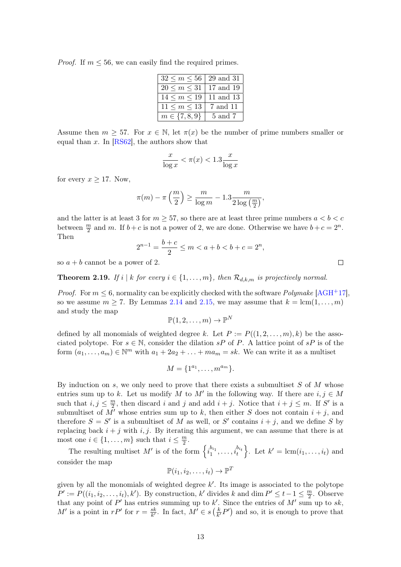*Proof.* If  $m \leq 56$ , we can easily find the required primes.

| $32 \le m \le 56$   29 and 31 |          |
|-------------------------------|----------|
| $20 \le m \le 31$   17 and 19 |          |
| $14 \le m \le 19$   11 and 13 |          |
| $11 \leq m \leq 13$           | 7 and 11 |
| $m \in \{7, 8, 9\}$           | 5 and 7  |

Assume then  $m \geq 57$ . For  $x \in \mathbb{N}$ , let  $\pi(x)$  be the number of prime numbers smaller or equal than x. In  $[RS62]$ , the authors show that

$$
\frac{x}{\log x} < \pi(x) < 1.3 \frac{x}{\log x}
$$

for every  $x \geq 17$ . Now,

$$
\pi(m) - \pi\left(\frac{m}{2}\right) \ge \frac{m}{\log m} - 1.3 \frac{m}{2\log\left(\frac{m}{2}\right)},
$$

and the latter is at least 3 for  $m \geq 57$ , so there are at least three prime numbers  $a < b < c$ between  $\frac{m}{2}$  and m. If  $b + c$  is not a power of 2, we are done. Otherwise we have  $b + c = 2^n$ . Then

$$
2^{n-1} = \frac{b+c}{2} \le m < a+b < b+c = 2^n,
$$

so  $a + b$  cannot be a power of 2.

<span id="page-14-0"></span>**Theorem 2.19.** If i | k for every  $i \in \{1, \ldots, m\}$ , then  $\mathcal{R}_{d,k,m}$  is projectively normal.

*Proof.* For  $m \leq 6$ , normality can be explicitly checked with the software *Polymake* [\[AGH](#page-29-14)<sup>+</sup>17], so we assume  $m \geq 7$ . By Lemmas [2.14](#page-12-1) and [2.15,](#page-12-2) we may assume that  $k = \text{lcm}(1, \ldots, m)$ and study the map

$$
\mathbb{P}(1,2,\ldots,m)\to\mathbb{P}^N
$$

defined by all monomials of weighted degree k. Let  $P := P((1, 2, \ldots, m), k)$  be the associated polytope. For  $s \in \mathbb{N}$ , consider the dilation sP of P. A lattice point of sP is of the form  $(a_1, \ldots, a_m) \in \mathbb{N}^m$  with  $a_1 + 2a_2 + \ldots + ma_m = sk$ . We can write it as a multiset

$$
M = \{1^{a_1}, \ldots, m^{a_m}\}.
$$

By induction on s, we only need to prove that there exists a submultiset  $S$  of  $M$  whose entries sum up to k. Let us modify M to M' in the following way. If there are  $i, j \in M$ such that  $i, j \leq \frac{m}{2}$  $\frac{m}{2}$ , then discard *i* and *j* and add *i* + *j*. Notice that *i* + *j*  $\leq$  *m*. If *S'* is a submultiset of  $\overline{M}$  whose entries sum up to k, then either S does not contain  $i + j$ , and therefore  $S = S'$  is a submultiset of M as well, or S' contains  $i + j$ , and we define S by replacing back  $i + j$  with i, j. By iterating this argument, we can assume that there is at most one  $i \in \{1, \ldots, m\}$  such that  $i \leq \frac{m}{2}$  $\frac{m}{2}$ .

The resulting multiset M' is of the form  $\left\{i_1^{b_{i_1}},\ldots,i_t^{b_{i_t}}\right\}$ . Let  $k'=\text{lcm}(i_1,\ldots,i_t)$  and consider the map

$$
\mathbb{P}(i_1, i_2, \dots, i_t) \to \mathbb{P}^T
$$

given by all the monomials of weighted degree  $k'$ . Its image is associated to the polytope  $P' := P((i_1, i_2, \ldots, i_t), k')$ . By construction, k' divides k and dim  $P' \leq t-1 \leq \frac{m}{2}$  $\frac{m}{2}$ . Observe that any point of P' has entries summing up to k'. Since the entries of M' sum up to sk, M' is a point in  $rP'$  for  $r = \frac{sk}{k'}$  $\frac{sk}{k'}$ . In fact,  $M' \in s\left(\frac{k}{k}\right)$  $\frac{k}{k'}P'$  and so, it is enough to prove that

 $\Box$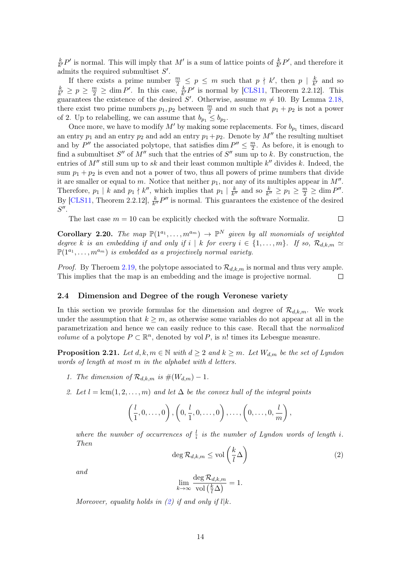k  $\frac{k}{k'}P'$  is normal. This will imply that M' is a sum of lattice points of  $\frac{k}{k'}P'$ , and therefore it admits the required submultiset  $S'$ .

If there exists a prime number  $\frac{m}{2} \leq p \leq m$  such that  $p \nmid k'$ , then  $p \mid \frac{k}{k}$  $\frac{k}{k'}$  and so k  $\frac{k}{k'} \ge p \ge \frac{m}{2} \ge \dim P'$ . In this case,  $\frac{k}{k'}P'$  is normal by [\[CLS11,](#page-29-10) Theorem 2.2.12]. This guarantees the existence of the desired S'. Otherwise, assume  $m \neq 10$ . By Lemma [2.18,](#page-13-0) there exist two prime numbers  $p_1, p_2$  between  $\frac{m}{2}$  and m such that  $p_1 + p_2$  is not a power of 2. Up to relabelling, we can assume that  $b_{p_1} \leq b_{p_2}$ .

Once more, we have to modify  $M'$  by making some replacements. For  $b_{p_1}$  times, discard an entry  $p_1$  and an entry  $p_2$  and add an entry  $p_1 + p_2$ . Denote by M'' the resulting multiset and by P'' the associated polytope, that satisfies dim  $P'' \n\t\leq \frac{m}{2}$  $\frac{m}{2}$ . As before, it is enough to find a submultiset  $S''$  of  $M''$  such that the entries of  $S''$  sum up to k. By construction, the entries of  $M''$  still sum up to sk and their least common multiple  $k''$  divides k. Indeed, the sum  $p_1 + p_2$  is even and not a power of two, thus all powers of prime numbers that divide it are smaller or equal to m. Notice that neither  $p_1$ , nor any of its multiples appear in  $M''$ . Therefore,  $p_1 \mid k$  and  $p_1 \nmid k''$ , which implies that  $p_1 \mid \frac{k}{k'}$  $\frac{k}{k''}$  and so  $\frac{k}{k''} \ge p_1 \ge \frac{m}{2} \ge \dim P''$ . By [\[CLS11,](#page-29-10) Theorem 2.2.12],  $\frac{k}{k''}P''$  is normal. This guarantees the existence of the desired  $S''$ .

The last case  $m = 10$  can be explicitly checked with the software Normaliz.

**Corollary 2.20.** The map  $\mathbb{P}(1^{a_1}, \ldots, n^{a_m}) \to \mathbb{P}^N$  given by all monomials of weighted degree k is an embedding if and only if i | k for every  $i \in \{1, \ldots, m\}$ . If so,  $\mathcal{R}_{d,k,m} \simeq$  $\mathbb{P}(1^{a_1}, \ldots, m^{a_m})$  is embedded as a projectively normal variety.

*Proof.* By Theroem [2.19,](#page-14-0) the polytope associated to  $\mathcal{R}_{d,k,m}$  is normal and thus very ample. This implies that the map is an embedding and the image is projective normal.  $\Box$ 

#### <span id="page-15-0"></span>2.4 Dimension and Degree of the rough Veronese variety

In this section we provide formulas for the dimension and degree of  $\mathcal{R}_{d,k,m}$ . We work under the assumption that  $k \geq m$ , as otherwise some variables do not appear at all in the parametrization and hence we can easily reduce to this case. Recall that the normalized *volume* of a polytope  $P \subset \mathbb{R}^n$ , denoted by vol P, is n! times its Lebesgue measure.

<span id="page-15-2"></span>**Proposition 2.21.** Let  $d, k, m \in \mathbb{N}$  with  $d \geq 2$  and  $k \geq m$ . Let  $W_{d,m}$  be the set of Lyndon words of length at most m in the alphabet with d letters.

- 1. The dimension of  $\mathcal{R}_{d,k,m}$  is  $\#(W_{d,m})-1$ .
- 2. Let  $l = \text{lcm}(1, 2, \ldots, m)$  and let  $\Delta$  be the convex hull of the integral points

$$
\left(\frac{l}{1},0,\ldots,0\right),\left(0,\frac{l}{1},0,\ldots,0\right),\ldots,\left(0,\ldots,0,\frac{l}{m}\right),\right)
$$

where the number of occurrences of  $\frac{l}{i}$  is the number of Lyndon words of length i. Then

<span id="page-15-1"></span>
$$
\deg \mathcal{R}_{d,k,m} \leq \text{vol}\left(\frac{k}{l}\Delta\right) \tag{2}
$$

 $\Box$ 

and

$$
\lim_{k \to \infty} \frac{\deg \mathcal R_{d,k,m}}{\operatorname{vol} \left( \frac{k}{l} \Delta \right)} = 1.
$$

Moreover, equality holds in  $(2)$  if and only if  $l|k$ .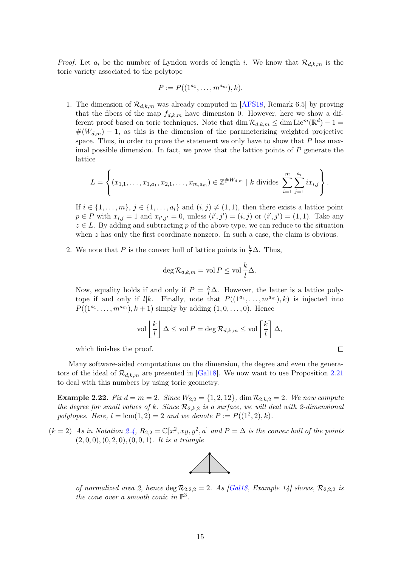*Proof.* Let  $a_i$  be the number of Lyndon words of length i. We know that  $\mathcal{R}_{d,k,m}$  is the toric variety associated to the polytope

$$
P := P((1^{a_1}, \ldots, m^{a_m}), k).
$$

1. The dimension of  $\mathcal{R}_{d,k,m}$  was already computed in [\[AFS18,](#page-29-5) Remark 6.5] by proving that the fibers of the map  $f_{d,k,m}$  have dimension 0. However, here we show a different proof based on toric techniques. Note that  $\dim \mathcal{R}_{d,k,m} \leq \dim \mathrm{Lie}^m(\mathbb{R}^d) - 1 =$  $#(W_{d,m}) - 1$ , as this is the dimension of the parameterizing weighted projective space. Thus, in order to prove the statement we only have to show that  $P$  has maximal possible dimension. In fact, we prove that the lattice points of  $P$  generate the lattice

$$
L = \left\{ (x_{1,1}, \ldots, x_{1,a_1}, x_{2,1}, \ldots, x_{m,a_m}) \in \mathbb{Z}^{\#W_{d,m}} \mid k \text{ divides } \sum_{i=1}^m \sum_{j=1}^{a_i} ix_{i,j} \right\}.
$$

If  $i \in \{1, \ldots, m\}, j \in \{1, \ldots, a_i\}$  and  $(i, j) \neq (1, 1)$ , then there exists a lattice point  $p \in P$  with  $x_{i,j} = 1$  and  $x_{i',j'} = 0$ , unless  $(i',j') = (i,j)$  or  $(i',j') = (1,1)$ . Take any  $z \in L$ . By adding and subtracting p of the above type, we can reduce to the situation when  $z$  has only the first coordinate nonzero. In such a case, the claim is obvious.

2. We note that P is the convex hull of lattice points in  $\frac{k}{l}\Delta$ . Thus,

$$
\deg \mathcal{R}_{d,k,m} = \text{vol}\,P \leq \text{vol}\,\frac{k}{l}\Delta.
$$

Now, equality holds if and only if  $P = \frac{k}{l} \Delta$ . However, the latter is a lattice polytope if and only if  $l|k$ . Finally, note that  $P((1^{a_1},...,m^{a_m}),k)$  is injected into  $P((1^{a_1},...,m^{a_m}),k+1)$  simply by adding  $(1,0,...,0)$ . Hence

$$
\text{vol}\left[\frac{k}{l}\right]\Delta \leq \text{vol}\,P = \text{deg}\,\mathcal{R}_{d,k,m} \leq \text{vol}\left[\frac{k}{l}\right]\Delta,
$$

which finishes the proof.

Many software-aided computations on the dimension, the degree and even the generators of the ideal of  $\mathcal{R}_{d,k,m}$  are presented in [\[Gal18\]](#page-30-2). We now want to use Proposition [2.21](#page-15-2) to deal with this numbers by using toric geometry.

**Example 2.22.** Fix  $d = m = 2$ . Since  $W_{2,2} = \{1, 2, 12\}$ , dim  $\mathcal{R}_{2,k,2} = 2$ . We now compute the degree for small values of k. Since  $\mathcal{R}_{2,k,2}$  is a surface, we will deal with 2-dimensional polytopes. Here,  $l = \text{lcm}(1, 2) = 2$  and we denote  $P := P((1^2, 2), k)$ .

 $(k = 2)$  As in Notation [2.4,](#page-8-2)  $R_{2,2} = \mathbb{C}[x^2, xy, y^2, a]$  and  $P = \Delta$  is the convex hull of the points  $(2, 0, 0), (0, 2, 0), (0, 0, 1).$  It is a triangle



of normalized area 2, hence deg  $\mathcal{R}_{2,2,2} = 2$ . As [\[Gal18,](#page-30-2) Example 14] shows,  $\mathcal{R}_{2,2,2}$  is the cone over a smooth conic in  $\mathbb{P}^3$ .

 $\Box$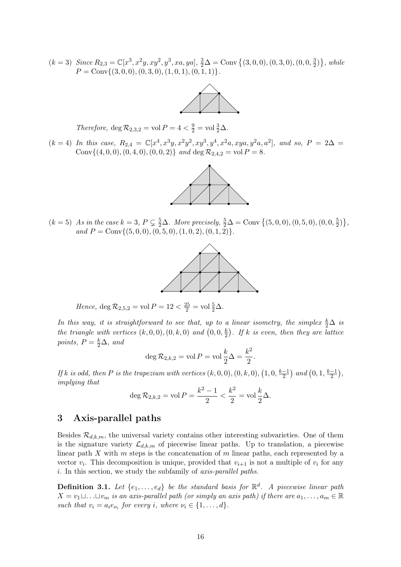$(k = 3)$  Since  $R_{2,3} = \mathbb{C}[x^3, x^2y, xy^2, y^3, xa, ya], \frac{3}{2}\Delta = \text{Conv}\{(3, 0, 0), (0, 3, 0), (0, 0, \frac{3}{2})\}$  $\frac{3}{2})\}, while$  $P = \text{Conv}\{(3, 0, 0), (0, 3, 0), (1, 0, 1), (0, 1, 1)\}.$ 



Therefore, deg  $\mathcal{R}_{2,3,2} = \text{vol } P = 4 < \frac{9}{2} = \text{vol } \frac{3}{2} \Delta$ .

 $(k = 4)$  In this case,  $R_{2,4} = \mathbb{C}[x^4, x^3y, x^2y^2, xy^3, y^4, x^2a, xya, y^2a, a^2]$ , and so,  $P = 2\Delta =$ Conv $\{(4, 0, 0), (0, 4, 0), (0, 0, 2)\}$  and deg  $\mathcal{R}_{2,4,2} = \text{vol } P = 8$ .



 $(k = 5)$  As in the case  $k = 3$ ,  $P \subsetneq \frac{5}{2}\Delta$ . More precisely,  $\frac{5}{2}\Delta = \text{Conv} \{(5, 0, 0), (0, 5, 0), (0, 0, \frac{5}{2})\}$  $\frac{5}{2}$   $\}$ , and  $P = \text{Conv}\{(5, 0, 0), (0, 5, 0), (1, 0, 2), (0, 1, 2)\}.$ 



Hence,  $\deg \mathcal{R}_{2,5,2} = \text{vol } P = 12 < \frac{25}{2} = \text{vol } \frac{5}{2} \Delta$ .

In this way, it is straightforward to see that, up to a linear isometry, the simplex  $\frac{k}{2}\Delta$  is the triangle with vertices  $(k,0,0), (0,k,0)$  and  $(0,0,\frac{k}{2})$  $\frac{k}{2}$ ). If k is even, then they are lattice points,  $P = \frac{k}{2}\Delta$ , and

$$
\deg R_{2,k,2} = \text{vol } P = \text{vol } \frac{k}{2} \Delta = \frac{k^2}{2}.
$$

If k is odd, then P is the trapezium with vertices  $(k, 0, 0), (0, k, 0), (1, 0, \frac{k-1}{2})$  $\frac{-1}{2}$ ) and  $(0, 1, \frac{k-1}{2})$  $\frac{-1}{2}$ ), implying that

$$
\deg R_{2,k,2} = \text{vol } P = \frac{k^2 - 1}{2} < \frac{k^2}{2} = \text{vol } \frac{k}{2} \Delta.
$$

# <span id="page-17-0"></span>3 Axis-parallel paths

Besides  $\mathcal{R}_{d,k,m}$ , the universal variety contains other interesting subvarieties. One of them is the signature variety  $\mathcal{L}_{d,k,m}$  of piecewise linear paths. Up to translation, a piecewise linear path  $X$  with  $m$  steps is the concatenation of  $m$  linear paths, each represented by a vector  $v_i$ . This decomposition is unique, provided that  $v_{i+1}$  is not a multiple of  $v_i$  for any i. In this section, we study the subfamily of *axis-parallel paths*.

**Definition 3.1.** Let  $\{e_1, \ldots, e_d\}$  be the standard basis for  $\mathbb{R}^d$ . A piecewise linear path  $X = v_1 \sqcup \ldots \sqcup v_m$  is an axis-parallel path (or simply an axis path) if there are  $a_1, \ldots, a_m \in \mathbb{R}$ such that  $v_i = a_i e_{\nu_i}$  for every i, where  $\nu_i \in \{1, ..., d\}.$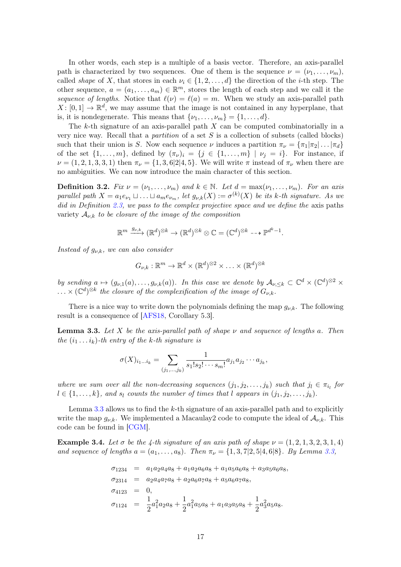In other words, each step is a multiple of a basis vector. Therefore, an axis-parallel path is characterized by two sequences. One of them is the sequence  $\nu = (\nu_1, \ldots, \nu_m)$ . called shape of X, that stores in each  $\nu_i \in \{1, 2, ..., d\}$  the direction of the *i*-th step. The other sequence,  $a = (a_1, \ldots, a_m) \in \mathbb{R}^m$ , stores the length of each step and we call it the sequence of lengths. Notice that  $\ell(\nu) = \ell(a) = m$ . When we study an axis-parallel path  $X: [0,1] \to \mathbb{R}^d$ , we may assume that the image is not contained in any hyperplane, that is, it is nondegenerate. This means that  $\{\nu_1, \ldots, \nu_m\} = \{1, \ldots, d\}.$ 

The k-th signature of an axis-parallel path  $X$  can be computed combinatorially in a very nice way. Recall that a *partition* of a set  $S$  is a collection of subsets (called blocks) such that their union is S. Now each sequence  $\nu$  induces a partition  $\pi_{\nu} = {\pi_1 | \pi_2 | \dots | \pi_d}$ of the set  $\{1,\ldots,m\}$ , defined by  $(\pi_{\nu})_i = \{j \in \{1,\ldots,m\} \mid \nu_j = i\}$ . For instance, if  $\nu = (1, 2, 1, 3, 3, 1)$  then  $\pi_{\nu} = \{1, 3, 6|2|4, 5\}$ . We will write  $\pi$  instead of  $\pi_{\nu}$  when there are no ambiguities. We can now introduce the main character of this section.

**Definition 3.2.** Fix  $\nu = (\nu_1, \ldots, \nu_m)$  and  $k \in \mathbb{N}$ . Let  $d = \max(\nu_1, \ldots, \nu_m)$ . For an axis parallel path  $X = a_1 e_{\nu_1} \sqcup \ldots \sqcup a_m e_{\nu_m}$ , let  $g_{\nu,k}(X) := \sigma^{(k)}(X)$  be its k-th signature. As we did in Definition [2.3,](#page-7-0) we pass to the complex projective space and we define the axis paths variety  $A_{\nu,k}$  to be closure of the image of the composition

$$
\mathbb{R}^m\xrightarrow{g_{\nu,k}}(\mathbb{R}^d)^{\otimes k}\to (\mathbb{R}^d)^{\otimes k}\otimes \mathbb{C}=(\mathbb{C}^d)^{\otimes k}\dashrightarrow \mathbb{P}^{d^k-1}.
$$

Instead of  $g_{\nu,k}$ , we can also consider

$$
G_{\nu,k}:\mathbb{R}^m\to\mathbb{R}^d\times(\mathbb{R}^d)^{\otimes 2}\times\ldots\times(\mathbb{R}^d)^{\otimes k}
$$

by sending  $a \mapsto (g_{\nu,1}(a), \ldots, g_{\nu,k}(a))$ . In this case we denote by  $\mathcal{A}_{\nu, \leq k} \subset \mathbb{C}^d \times (\mathbb{C}^d)^{\otimes 2} \times$  $\ldots \times (\mathbb{C}^d)^{\otimes k}$  the closure of the complexification of the image of  $G_{\nu,k}$ .

There is a nice way to write down the polynomials defining the map  $g_{\nu,k}$ . The following result is a consequence of [\[AFS18,](#page-29-5) Corollary 5.3].

<span id="page-18-0"></span>**Lemma 3.3.** Let X be the axis-parallel path of shape  $\nu$  and sequence of lengths a. Then the  $(i_1 \ldots i_k)$ -th entry of the k-th signature is

$$
\sigma(X)_{i_1...i_k} = \sum_{(j_1,...,j_k)} \frac{1}{s_1! s_2! \cdots s_m!} a_{j_1} a_{j_2} \cdots a_{j_k},
$$

where we sum over all the non-decreasing sequences  $(j_1, j_2, \ldots, j_k)$  such that  $j_l \in \pi_{i_l}$  for  $l \in \{1, \ldots, k\}$ , and  $s_l$  counts the number of times that l appears in  $(j_1, j_2, \ldots, j_k)$ .

Lemma [3.3](#page-18-0) allows us to find the k-th signature of an axis-parallel path and to explicitly write the map  $g_{\nu,k}$ . We implemented a Macaulay2 code to compute the ideal of  $\mathcal{A}_{\nu,k}$ . This code can be found in [\[CGM\]](#page-29-12).

**Example 3.4.** Let  $\sigma$  be the 4-th signature of an axis path of shape  $\nu = (1, 2, 1, 3, 2, 3, 1, 4)$ and sequence of lengths  $a = (a_1, \ldots, a_8)$ . Then  $\pi_{\nu} = \{1, 3, 7|2, 5|4, 6|8\}$ . By Lemma [3.3,](#page-18-0)

$$
\sigma_{1234} = a_1 a_2 a_4 a_8 + a_1 a_2 a_6 a_8 + a_1 a_5 a_6 a_8 + a_3 a_5 a_6 a_8,
$$
  
\n
$$
\sigma_{2314} = a_2 a_4 a_7 a_8 + a_2 a_6 a_7 a_8 + a_5 a_6 a_7 a_8,
$$
  
\n
$$
\sigma_{4123} = 0,
$$
  
\n
$$
\sigma_{1124} = \frac{1}{2} a_1^2 a_2 a_8 + \frac{1}{2} a_1^2 a_5 a_8 + a_1 a_3 a_5 a_8 + \frac{1}{2} a_3^2 a_5 a_8.
$$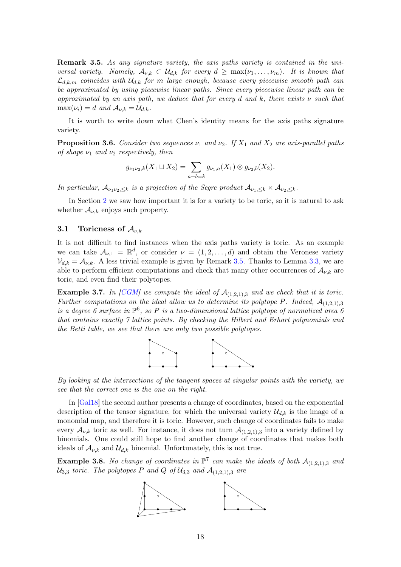<span id="page-19-1"></span>**Remark 3.5.** As any signature variety, the axis paths variety is contained in the universal variety. Namely,  $A_{\nu,k} \subset \mathcal{U}_{d,k}$  for every  $d \geq \max(\nu_1, \ldots, \nu_m)$ . It is known that  $\mathcal{L}_{d,k,m}$  coincides with  $\mathcal{U}_{d,k}$  for m large enough, because every piecewise smooth path can be approximated by using piecewise linear paths. Since every piecewise linear path can be approximated by an axis path, we deduce that for every d and k, there exists  $\nu$  such that  $\max(\nu_i) = d$  and  $\mathcal{A}_{\nu,k} = \mathcal{U}_{d,k}$ .

It is worth to write down what Chen's identity means for the axis paths signature variety.

<span id="page-19-2"></span>**Proposition 3.6.** Consider two sequences  $\nu_1$  and  $\nu_2$ . If  $X_1$  and  $X_2$  are axis-parallel paths of shape  $\nu_1$  and  $\nu_2$  respectively, then

$$
g_{\nu_1\nu_2,k}(X_1 \sqcup X_2) = \sum_{a+b=k} g_{\nu_1,a}(X_1) \otimes g_{\nu_2,b}(X_2).
$$

In particular,  $A_{\nu_1\nu_2,\leq k}$  is a projection of the Segre product  $A_{\nu_1,\leq k}\times A_{\nu_2,\leq k}$ .

In Section [2](#page-6-1) we saw how important it is for a variety to be toric, so it is natural to ask whether  $\mathcal{A}_{\nu,k}$  enjoys such property.

#### <span id="page-19-0"></span>3.1 Toricness of  $A_{\nu,k}$

It is not difficult to find instances when the axis paths variety is toric. As an example we can take  $\mathcal{A}_{\nu,1} = \mathbb{R}^d$ , or consider  $\nu = (1, 2, \dots, d)$  and obtain the Veronese variety  $V_{d,k} = A_{\nu,k}$ . A less trivial example is given by Remark [3.5.](#page-19-1) Thanks to Lemma [3.3,](#page-18-0) we are able to perform efficient computations and check that many other occurrences of  $\mathcal{A}_{\nu,k}$  are toric, and even find their polytopes.

**Example 3.7.** In [\[CGM\]](#page-29-12) we compute the ideal of  $A_{(1,2,1),3}$  and we check that it is toric. Further computations on the ideal allow us to determine its polytope P. Indeed,  $A_{(1,2,1),3}$ is a degree 6 surface in  $\mathbb{P}^6$ , so P is a two-dimensional lattice polytope of normalized area 6 that contains exactly 7 lattice points. By checking the Hilbert and Erhart polynomials and the Betti table, we see that there are only two possible polytopes.



By looking at the intersections of the tangent spaces at singular points with the variety, we see that the correct one is the one on the right.

In [\[Gal18\]](#page-30-2) the second author presents a change of coordinates, based on the exponential description of the tensor signature, for which the universal variety  $\mathcal{U}_{d,k}$  is the image of a monomial map, and therefore it is toric. However, such change of coordinates fails to make every  $\mathcal{A}_{\nu,k}$  toric as well. For instance, it does not turn  $\mathcal{A}_{(1,2,1),3}$  into a variety defined by binomials. One could still hope to find another change of coordinates that makes both ideals of  $\mathcal{A}_{\nu,k}$  and  $\mathcal{U}_{d,k}$  binomial. Unfortunately, this is not true.

**Example 3.8.** No change of coordinates in  $\mathbb{P}^7$  can make the ideals of both  $\mathcal{A}_{(1,2,1),3}$  and  $U_{3,3}$  toric. The polytopes P and Q of  $U_{3,3}$  and  $\mathcal{A}_{(1,2,1),3}$  are

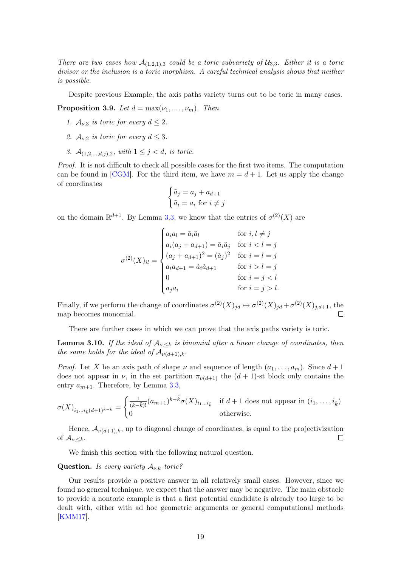There are two cases how  $\mathcal{A}_{(1,2,1),3}$  could be a toric subvariety of  $\mathcal{U}_{3,3}$ . Either it is a toric divisor or the inclusion is a toric morphism. A careful technical analysis shows that neither is possible.

Despite previous Example, the axis paths variety turns out to be toric in many cases.

**Proposition 3.9.** Let  $d = \max(\nu_1, \ldots, \nu_m)$ . Then

- 1.  $A_{\nu,3}$  is toric for every  $d \leq 2$ .
- 2.  $A_{\nu,2}$  is toric for every  $d \leq 3$ .
- 3.  $A_{(1,2,...,d,j),2}$ , with  $1 \leq j < d$ , is toric.

Proof. It is not difficult to check all possible cases for the first two items. The computation can be found in [\[CGM\]](#page-29-12). For the third item, we have  $m = d + 1$ . Let us apply the change of coordinates

$$
\begin{cases} \tilde{a}_j = a_j + a_{d+1} \\ \tilde{a}_i = a_i \text{ for } i \neq j \end{cases}
$$

on the domain  $\mathbb{R}^{d+1}$ . By Lemma [3.3,](#page-18-0) we know that the entries of  $\sigma^{(2)}(X)$  are

$$
\sigma^{(2)}(X)_{il} = \begin{cases}\na_i a_l = \tilde{a}_i \tilde{a}_l & \text{for } i, l \neq j \\
a_i (a_j + a_{d+1}) = \tilde{a}_i \tilde{a}_j & \text{for } i < l = j \\
(a_j + a_{d+1})^2 = (\tilde{a}_j)^2 & \text{for } i = l = j \\
a_i a_{d+1} = \tilde{a}_i \tilde{a}_{d+1} & \text{for } i > l = j \\
0 & \text{for } i = j < l \\
a_j a_i & \text{for } i = j > l.\n\end{cases}
$$

Finally, if we perform the change of coordinates  $\sigma^{(2)}(X)_{jd} \mapsto \sigma^{(2)}(X)_{jd} + \sigma^{(2)}(X)_{j,d+1}$ , the map becomes monomial.  $\Box$ 

There are further cases in which we can prove that the axis paths variety is toric.

**Lemma 3.10.** If the ideal of  $A_{\nu,\leq k}$  is binomial after a linear change of coordinates, then the same holds for the ideal of  $\mathcal{A}_{\nu(d+1),k}$ .

*Proof.* Let X be an axis path of shape  $\nu$  and sequence of length  $(a_1, \ldots, a_m)$ . Since  $d+1$ does not appear in  $\nu$ , in the set partition  $\pi_{\nu(d+1)}$  the  $(d+1)$ -st block only contains the entry  $a_{m+1}$ . Therefore, by Lemma [3.3,](#page-18-0)

$$
\sigma(X)_{i_1\ldots i_{\tilde{k}}(d+1)^{k-\tilde{k}}} = \begin{cases} \frac{1}{(k-\tilde{k})!} (a_{m+1})^{k-\tilde{k}} \sigma(X)_{i_1\ldots i_{\tilde{k}}} & \text{if } d+1 \text{ does not appear in } (i_1,\ldots,i_{\tilde{k}}) \\ 0 & \text{otherwise.} \end{cases}
$$

Hence,  $\mathcal{A}_{\nu(d+1),k}$ , up to diagonal change of coordinates, is equal to the projectivization of  $\mathcal{A}_{\nu,.$  $\Box$ 

We finish this section with the following natural question.

#### **Question.** Is every variety  $A_{\nu,k}$  toric?

Our results provide a positive answer in all relatively small cases. However, since we found no general technique, we expect that the answer may be negative. The main obstacle to provide a nontoric example is that a first potential candidate is already too large to be dealt with, either with ad hoc geometric arguments or general computational methods [\[KMM17\]](#page-30-11).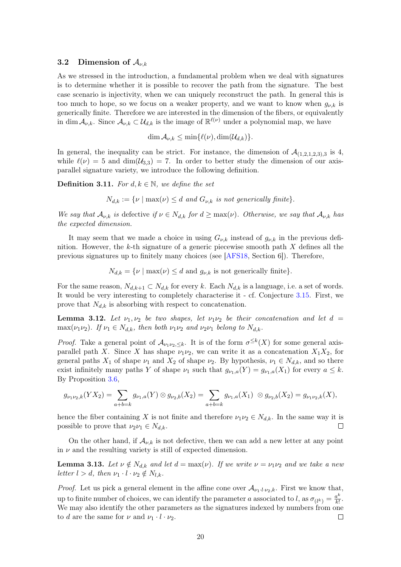#### <span id="page-21-0"></span>3.2 Dimension of  $\mathcal{A}_{\nu,k}$

As we stressed in the introduction, a fundamental problem when we deal with signatures is to determine whether it is possible to recover the path from the signature. The best case scenario is injectivity, when we can uniquely reconstruct the path. In general this is too much to hope, so we focus on a weaker property, and we want to know when  $g_{\nu,k}$  is generically finite. Therefore we are interested in the dimension of the fibers, or equivalently in dim  $A_{\nu,k}$ . Since  $A_{\nu,k} \subset \mathcal{U}_{d,k}$  is the image of  $\mathbb{R}^{\ell(\nu)}$  under a polynomial map, we have

 $\dim \mathcal{A}_{\nu,k} \leq \min\{\ell(\nu), \dim(\mathcal{U}_{d,k})\}.$ 

In general, the inequality can be strict. For instance, the dimension of  $\mathcal{A}_{(1,2,1,2,3),3}$  is 4, while  $\ell(\nu) = 5$  and  $\dim(\mathcal{U}_{3,3}) = 7$ . In order to better study the dimension of our axisparallel signature variety, we introduce the following definition.

**Definition 3.11.** For  $d, k \in \mathbb{N}$ , we define the set

 $N_{d,k} := \{ \nu \mid \max(\nu) \leq d \text{ and } G_{\nu,k} \text{ is not generically finite} \}.$ 

We say that  $\mathcal{A}_{\nu,k}$  is defective if  $\nu \in N_{d,k}$  for  $d \geq \max(\nu)$ . Otherwise, we say that  $\mathcal{A}_{\nu,k}$  has the expected dimension.

It may seem that we made a choice in using  $G_{\nu,k}$  instead of  $g_{\nu,k}$  in the previous definition. However, the k-th signature of a generic piecewise smooth path  $X$  defines all the previous signatures up to finitely many choices (see [\[AFS18,](#page-29-5) Section 6]). Therefore,

 $N_{d,k} = \{ \nu \mid \max(\nu) \leq d \text{ and } g_{\nu,k} \text{ is not generically finite} \}.$ 

For the same reason,  $N_{d,k+1} \subset N_{d,k}$  for every k. Each  $N_{d,k}$  is a language, i.e. a set of words. It would be very interesting to completely characterise it - cf. Conjecture [3.15.](#page-22-0) First, we prove that  $N_{d,k}$  is absorbing with respect to concatenation.

**Lemma 3.12.** Let  $\nu_1, \nu_2$  be two shapes, let  $\nu_1\nu_2$  be their concatenation and let d = max( $\nu_1\nu_2$ ). If  $\nu_1 \in N_{d,k}$ , then both  $\nu_1\nu_2$  and  $\nu_2\nu_1$  belong to  $N_{d,k}$ .

*Proof.* Take a general point of  $\mathcal{A}_{\nu_1\nu_2,\leq k}$ . It is of the form  $\sigma^{\leq k}(X)$  for some general axisparallel path X. Since X has shape  $\nu_1\nu_2$ , we can write it as a concatenation  $X_1X_2$ , for general paths  $X_1$  of shape  $\nu_1$  and  $X_2$  of shape  $\nu_2$ . By hypothesis,  $\nu_1 \in N_{d,k}$ , and so there exist infinitely many paths Y of shape  $\nu_1$  such that  $g_{\nu_1,a}(Y) = g_{\nu_1,a}(X_1)$  for every  $a \leq k$ . By Proposition [3.6,](#page-19-2)

$$
g_{\nu_1\nu_2,k}(YX_2)=\sum_{a+b=k}g_{\nu_1,a}(Y)\otimes g_{\nu_2,b}(X_2)=\sum_{a+b=k}g_{\nu_1,a}(X_1)\otimes g_{\nu_2,b}(X_2)=g_{\nu_1\nu_2,k}(X),
$$

hence the fiber containing X is not finite and therefore  $\nu_1\nu_2 \in N_{d,k}$ . In the same way it is possible to prove that  $\nu_2 \nu_1 \in N_{d,k}$ .  $\Box$ 

On the other hand, if  $\mathcal{A}_{\nu,k}$  is not defective, then we can add a new letter at any point in  $\nu$  and the resulting variety is still of expected dimension.

**Lemma 3.13.** Let  $\nu \notin N_{d,k}$  and let  $d = \max(\nu)$ . If we write  $\nu = \nu_1 \nu_2$  and we take a new letter  $l > d$ , then  $\nu_1 \cdot l \cdot \nu_2 \notin N_{l,k}$ .

*Proof.* Let us pick a general element in the affine cone over  $\mathcal{A}_{\nu_1\cdot l\cdot \nu_2,k}$ . First we know that, up to finite number of choices, we can identify the parameter a associated to l, as  $\sigma_{(l^k)} = \frac{a^k}{k!}$  $\frac{a^{\kappa}}{k!}$ . We may also identify the other parameters as the signatures indexed by numbers from one to d are the same for  $\nu$  and  $\nu_1 \cdot l \cdot \nu_2$ .  $\Box$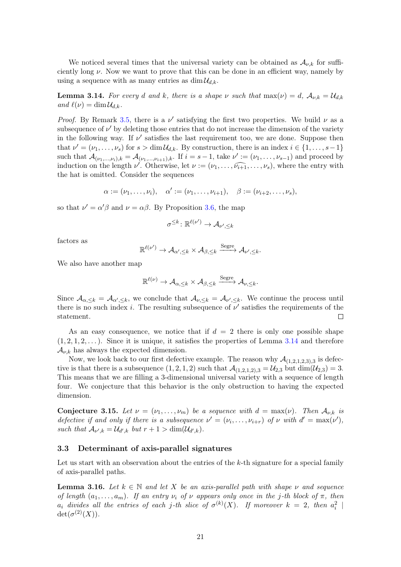We noticed several times that the universal variety can be obtained as  $A_{\nu,k}$  for sufficiently long  $\nu$ . Now we want to prove that this can be done in an efficient way, namely by using a sequence with as many entries as  $\dim \mathcal{U}_{d,k}$ .

<span id="page-22-1"></span>**Lemma 3.14.** For every d and k, there is a shape v such that  $\max(\nu) = d$ ,  $\mathcal{A}_{\nu,k} = \mathcal{U}_{d,k}$ and  $\ell(\nu) = \dim \mathcal{U}_{d,k}$ .

*Proof.* By Remark [3.5,](#page-19-1) there is a  $\nu'$  satisfying the first two properties. We build  $\nu$  as a subsequence of  $\nu'$  by deleting those entries that do not increase the dimension of the variety in the following way. If  $\nu'$  satisfies the last requirement too, we are done. Suppose then that  $\nu' = (\nu_1, \ldots, \nu_s)$  for  $s > \dim \mathcal{U}_{d,k}$ . By construction, there is an index  $i \in \{1, \ldots, s-1\}$ such that  $\mathcal{A}_{(\nu_1,...,\nu_i),k} = \mathcal{A}_{(\nu_1,...,\nu_{i+1}),k}$ . If  $i = s - 1$ , take  $\nu' := (\nu_1,...,\nu_{s-1})$  and proceed by induction on the length  $\nu'$ . Otherwise, let  $\nu := (\nu_1, \ldots, \widehat{\nu_{i+1}}, \ldots, \nu_s)$ , where the entry with the hat is omitted. Consider the sequences

$$
\alpha := (\nu_1, ..., \nu_i), \quad \alpha' := (\nu_1, ..., \nu_{i+1}), \quad \beta := (\nu_{i+2}, ..., \nu_s),
$$

so that  $\nu' = \alpha' \beta$  and  $\nu = \alpha \beta$ . By Proposition [3.6,](#page-19-2) the map

$$
\sigma^{\leq k} \colon \mathbb{R}^{\ell(\nu')} \to \mathcal{A}_{\nu',\leq k}
$$

factors as

$$
\mathbb{R}^{\ell(\nu')} \to \mathcal{A}_{\alpha',\leq k} \times \mathcal{A}_{\beta,\leq k} \xrightarrow{\text{Segre}} \mathcal{A}_{\nu',\leq k}.
$$

We also have another map

$$
\mathbb{R}^{\ell(\nu)} \to \mathcal{A}_{\alpha,\leq k} \times \mathcal{A}_{\beta,\leq k} \xrightarrow{\text{Segre}} \mathcal{A}_{\nu,\leq k}.
$$

Since  $\mathcal{A}_{\alpha,\leq k} = \mathcal{A}_{\alpha',\leq k}$ , we conclude that  $\mathcal{A}_{\nu,\leq k} = \mathcal{A}_{\nu',\leq k}$ . We continue the process until there is no such index *i*. The resulting subsequence of  $\nu'$  satisfies the requirements of the  $\Box$ statement.

As an easy consequence, we notice that if  $d = 2$  there is only one possible shape  $(1, 2, 1, 2, \ldots)$ . Since it is unique, it satisfies the properties of Lemma [3.14](#page-22-1) and therefore  $\mathcal{A}_{\nu,k}$  has always the expected dimension.

Now, we look back to our first defective example. The reason why  $\mathcal{A}_{(1,2,1,2,3),3}$  is defective is that there is a subsequence  $(1, 2, 1, 2)$  such that  $\mathcal{A}_{(1,2,1,2),3} = \mathcal{U}_{2,3}$  but  $\dim(\mathcal{U}_{2,3}) = 3$ . This means that we are filling a 3-dimensional universal variety with a sequence of length four. We conjecture that this behavior is the only obstruction to having the expected dimension.

<span id="page-22-0"></span>Conjecture 3.15. Let  $\nu = (\nu_1, \ldots, \nu_m)$  be a sequence with  $d = \max(\nu)$ . Then  $\mathcal{A}_{\nu,k}$  is defective if and only if there is a subsequence  $\nu' = (\nu_i, \dots, \nu_{i+r})$  of  $\nu$  with  $d' = \max(\nu')$ , such that  $\mathcal{A}_{\nu',k} = \mathcal{U}_{d',k}$  but  $r + 1 > \dim(\mathcal{U}_{d',k})$ .

#### 3.3 Determinant of axis-parallel signatures

Let us start with an observation about the entries of the k-th signature for a special family of axis-parallel paths.

**Lemma 3.16.** Let  $k \in \mathbb{N}$  and let X be an axis-parallel path with shape v and sequence of length  $(a_1, \ldots, a_m)$ . If an entry  $\nu_i$  of  $\nu$  appears only once in the j-th block of  $\pi$ , then  $a_i$  divides all the entries of each j-th slice of  $\sigma^{(k)}(X)$ . If moreover  $k = 2$ , then  $a_i^2$  $\det(\sigma^{(2)}(X)).$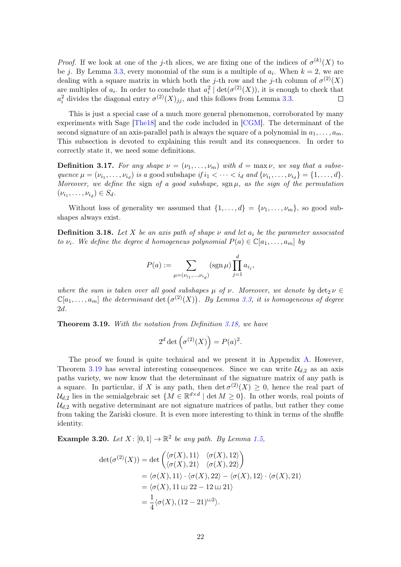*Proof.* If we look at one of the j-th slices, we are fixing one of the indices of  $\sigma^{(k)}(X)$  to be j. By Lemma [3.3,](#page-18-0) every monomial of the sum is a multiple of  $a_i$ . When  $k = 2$ , we are dealing with a square matrix in which both the j-th row and the j-th column of  $\sigma^{(2)}(X)$ are multiples of  $a_i$ . In order to conclude that  $a_i^2 | \det(\sigma^{(2)}(X))$ , it is enough to check that  $a_i^2$  divides the diagonal entry  $\sigma^{(2)}(X)_{jj}$ , and this follows from Lemma [3.3.](#page-18-0)  $\Box$ 

This is just a special case of a much more general phenomenon, corroborated by many experiments with Sage [\[The18\]](#page-30-12) and the code included in [\[CGM\]](#page-29-12). The determinant of the second signature of an axis-parallel path is always the square of a polynomial in  $a_1, \ldots, a_m$ . This subsection is devoted to explaining this result and its consequences. In order to correctly state it, we need some definitions.

**Definition 3.17.** For any shape  $\nu = (\nu_1, \dots, \nu_m)$  with  $d = \max \nu$ , we say that a subsequence  $\mu = (\nu_{i_1}, \dots, \nu_{i_d})$  is a good subshape if  $i_1 < \dots < i_d$  and  $\{\nu_{i_1}, \dots, \nu_{i_d}\} = \{1, \dots, d\}.$ Moreover, we define the sign of a good subshape,  $\operatorname{sgn} \mu$ , as the sign of the permutation  $(\nu_{i_1}, \ldots, \nu_{i_d}) \in S_d.$ 

Without loss of generality we assumed that  $\{1, \ldots, d\} = \{\nu_1, \ldots, \nu_m\}$ , so good subshapes always exist.

<span id="page-23-1"></span>**Definition 3.18.** Let X be an axis path of shape  $\nu$  and let  $a_i$  be the parameter associated to  $\nu_i$ . We define the degree d homogeneus polynomial  $P(a) \in \mathbb{C}[a_1, \ldots, a_m]$  by

$$
P(a) := \sum_{\mu = (\nu_{i_1}, \dots, \nu_{i_d})} (\operatorname{sgn} \mu) \prod_{j=1}^d a_{i_j},
$$

where the sum is taken over all good subshapes  $\mu$  of  $\nu$ . Moreover, we denote by  $\det_2 \nu \in$  $\mathbb{C}[a_1,\ldots,a_m]$  the determinant  $\det(\sigma^{(2)}(X))$ . By Lemma [3.3,](#page-18-0) it is homogeneous of degree 2d.

<span id="page-23-0"></span>Theorem 3.19. With the notation from Definition [3.18,](#page-23-1) we have

$$
2^d \det \left( \sigma^{(2)}(X) \right) = P(a)^2.
$$

The proof we found is quite technical and we present it in Appendix [A.](#page-25-0) However, Theorem [3.19](#page-23-0) has several interesting consequences. Since we can write  $\mathcal{U}_{d,2}$  as an axis paths variety, we now know that the determinant of the signature matrix of any path is a square. In particular, if X is any path, then  $\det \sigma^{(2)}(X) \geq 0$ , hence the real part of  $\mathcal{U}_{d,2}$  lies in the semialgebraic set  $\{M \in \mathbb{R}^{d \times d} \mid \det M \geq 0\}$ . In other words, real points of  $\mathcal{U}_{d,2}$  with negative determinant are not signature matrices of paths, but rather they come from taking the Zariski closure. It is even more interesting to think in terms of the shuffle identity.

**Example 3.20.** Let  $X: [0,1] \to \mathbb{R}^2$  be any path. By Lemma [1.5,](#page-4-0)

$$
det(\sigma^{(2)}(X)) = det\begin{pmatrix} \langle \sigma(X), 11 \rangle & \langle \sigma(X), 12 \rangle \\ \langle \sigma(X), 21 \rangle & \langle \sigma(X), 22 \rangle \end{pmatrix}
$$
  
=  $\langle \sigma(X), 11 \rangle \cdot \langle \sigma(X), 22 \rangle - \langle \sigma(X), 12 \rangle \cdot \langle \sigma(X), 21 \rangle$   
=  $\langle \sigma(X), 11 \sqcup 22 - 12 \sqcup 21 \rangle$   
=  $\frac{1}{4} \langle \sigma(X), (12 - 21)^{\sqcup 2} \rangle$ .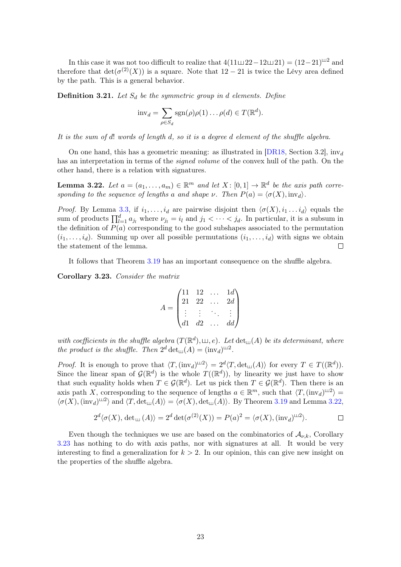In this case it was not too difficult to realize that  $4(11 \sqcup 22-12 \sqcup 21) = (12-21)^{2}$  and therefore that  $\det(\sigma^{(2)}(X))$  is a square. Note that  $12-21$  is twice the Lévy area defined by the path. This is a general behavior.

**Definition 3.21.** Let  $S_d$  be the symmetric group in d elements. Define

$$
inv_d = \sum_{\rho \in S_d} sgn(\rho)\rho(1)\dots \rho(d) \in T(\mathbb{R}^d).
$$

It is the sum of d! words of length d, so it is a degree d element of the shuffle algebra.

On one hand, this has a geometric meaning: as illustrated in [\[DR18,](#page-29-15) Section 3.2],  $inv_d$ has an interpretation in terms of the *signed volume* of the convex hull of the path. On the other hand, there is a relation with signatures.

<span id="page-24-1"></span>**Lemma 3.22.** Let  $a = (a_1, \ldots, a_m) \in \mathbb{R}^m$  and let  $X : [0,1] \to \mathbb{R}^d$  be the axis path corresponding to the sequence of lengths a and shape  $\nu$ . Then  $P(a) = \langle \sigma(X), inv_d \rangle$ .

*Proof.* By Lemma [3.3,](#page-18-0) if  $i_1, \ldots, i_d$  are pairwise disjoint then  $\langle \sigma(X), i_1 \ldots i_d \rangle$  equals the sum of products  $\prod_{l=1}^d a_{j_l}$  where  $\nu_{j_l} = i_l$  and  $j_1 < \cdots < j_d$ . In particular, it is a subsum in the definition of  $P(a)$  corresponding to the good subshapes associated to the permutation  $(i_1, \ldots, i_d)$ . Summing up over all possible permutations  $(i_1, \ldots, i_d)$  with signs we obtain the statement of the lemma.  $\Box$ 

It follows that Theorem [3.19](#page-23-0) has an important consequence on the shuffle algebra.

<span id="page-24-0"></span>Corollary 3.23. Consider the matrix

$$
A = \begin{pmatrix} 11 & 12 & \dots & 1d \\ 21 & 22 & \dots & 2d \\ \vdots & \vdots & \ddots & \vdots \\ d1 & d2 & \dots & d d \end{pmatrix}
$$

with coefficients in the shuffle algebra  $(T(\mathbb{R}^d), \sqcup, e)$ . Let  $\det_{\sqcup}(\overline{A})$  be its determinant, where the product is the shuffle. Then  $2^d \det(\mathcal{A}) = (\text{inv}_d)^{\mathfrak{U}2}$ .

*Proof.* It is enough to prove that  $\langle T, (\text{inv}_d)^{\perp 2} \rangle = 2^d \langle T, \text{det}_{\perp}(\mathcal{A}) \rangle$  for every  $T \in T((\mathbb{R}^d))$ . Since the linear span of  $\mathcal{G}(\mathbb{R}^d)$  is the whole  $T((\mathbb{R}^d))$ , by linearity we just have to show that such equality holds when  $T \in \mathcal{G}(\mathbb{R}^d)$ . Let us pick then  $T \in \mathcal{G}(\mathbb{R}^d)$ . Then there is an axis path X, corresponding to the sequence of lengths  $a \in \mathbb{R}^m$ , such that  $\langle T, (\text{inv}_d)^{\sqcup 2} \rangle =$  $\langle \sigma(X),(\text{inv}_d)^{\perp 2} \rangle$  and  $\langle T,\det_{\text{Lil}}(A) \rangle = \langle \sigma(X),\det_{\text{Lil}}(A) \rangle$ . By Theorem [3.19](#page-23-0) and Lemma [3.22,](#page-24-1)

$$
2^d \langle \sigma(X), \det_{\mathfrak{U}}(A) \rangle = 2^d \det(\sigma^{(2)}(X)) = P(a)^2 = \langle \sigma(X), (\mathrm{inv}_d)^{\mathfrak{U}2} \rangle.
$$

Even though the techniques we use are based on the combinatorics of  $\mathcal{A}_{\nu,k}$ , Corollary [3.23](#page-24-0) has nothing to do with axis paths, nor with signatures at all. It would be very interesting to find a generalization for  $k > 2$ . In our opinion, this can give new insight on the properties of the shuffle algebra.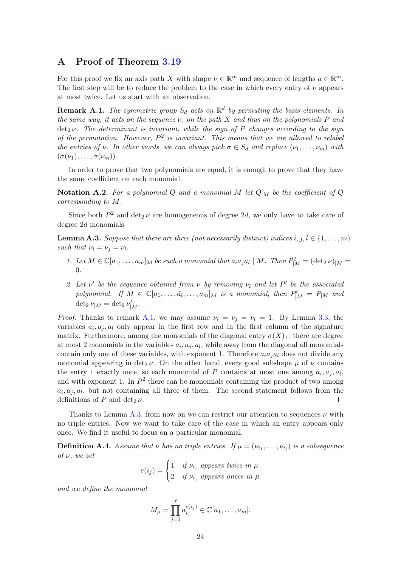# <span id="page-25-0"></span>A Proof of Theorem [3.19](#page-23-0)

For this proof we fix an axis path X with shape  $\nu \in \mathbb{R}^m$  and sequence of lengths  $a \in \mathbb{R}^m$ . The first step will be to reduce the problem to the case in which every entry of  $\nu$  appears at most twice. Let us start with an observation.

<span id="page-25-1"></span>**Remark A.1.** The symmetric group  $S_d$  acts on  $\mathbb{R}^d$  by permuting the basis elements. In the same way, it acts on the sequence  $\nu$ , on the path X and thus on the polynomials P and  $\det_2 \nu$ . The determinant is invariant, while the sign of P changes according to the sign of the permutation. However,  $P^2$  is invariant. This means that we are allowed to relabel the entries of v. In other words, we can always pick  $\sigma \in S_d$  and replace  $(\nu_1, \ldots, \nu_m)$  with  $(\sigma(\nu_1), \ldots, \sigma(\nu_m)).$ 

In order to prove that two polynomials are equal, it is enough to prove that they have the same coefficient on each monomial.

**Notation A.2.** For a polynomial Q and a monomial M let  $Q_{|M}$  be the coefficient of Q corresponding to M.

Since both  $P^2$  and  $\det_2 \nu$  are homogeneous of degree 2d, we only have to take care of degree 2d monomials.

<span id="page-25-2"></span>**Lemma A.3.** Suppose that there are three (not necessarily distinct) indices  $i, j, l \in \{1, \ldots, m\}$ such that  $\nu_i = \nu_j = \nu_l$ .

- 1. Let  $M \in \mathbb{C}[a_1,\ldots,a_m]_{2d}$  be such a monomial that  $a_ia_ja_l \mid M$ . Then  $P^2_{|M} = (\det_2 \nu)_{|M} =$  $\Omega$ .
- 2. Let  $\nu'$  be the sequence obtained from  $\nu$  by removing  $\nu_l$  and let  $P'$  be the associated polynomial. If  $M \in \mathbb{C}[a_1,\ldots,\hat{a_l},\ldots,a_m]_{2d}$  is a monomial, then  $P'_{|M} = P_{|M}$  and  $\det_2 \nu_{|M} = \det_2 \nu'_{|M}.$

*Proof.* Thanks to remark [A.1,](#page-25-1) we may assume  $\nu_i = \nu_j = \nu_l = 1$ . By Lemma [3.3,](#page-18-0) the variables  $a_i, a_j, a_l$  only appear in the first row and in the first column of the signature matrix. Furthermore, among the monomials of the diagonal entry  $\sigma(X)_{11}$  there are degree at most 2 monomials in the variables  $a_i, a_j, a_l$ , while away from the diagonal all monomials contain only one of these variables, with exponent 1. Therefore  $a_i a_j a_l$  does not divide any monomial appearing in det<sub>2</sub>  $\nu$ . On the other hand, every good subshape  $\mu$  of  $\nu$  contains the entry 1 exactly once, so each monomial of P contains at most one among  $a_i, a_j, a_l$ , and with exponent 1. In  $P^2$  there can be monomials containing the product of two among  $a_i, a_j, a_l$ , but not containing all three of them. The second statement follows from the definitions of P and det<sub>2</sub>  $\nu$ .  $\Box$ 

Thanks to Lemma [A.3,](#page-25-2) from now on we can restrict our attention to sequences  $\nu$  with no triple entries. Now we want to take care of the case in which an entry appears only once. We find it useful to focus on a particular monomial.

**Definition A.4.** Assume that  $\nu$  has no triple entries. If  $\mu = (\nu_{i_1}, \ldots, \nu_{i_\ell})$  is a subsequence of  $\nu$ , we set

$$
e(i_j) = \begin{cases} 1 & if \ v_{i_j} \text{ appears twice in } \mu \\ 2 & if \ v_{i_j} \text{ appears once in } \mu \end{cases}
$$

and we define the monomial

$$
M_{\mu} = \prod_{j=1}^{\ell} a_{i_j}^{e(i_j)} \in \mathbb{C}[a_1, \ldots, a_m].
$$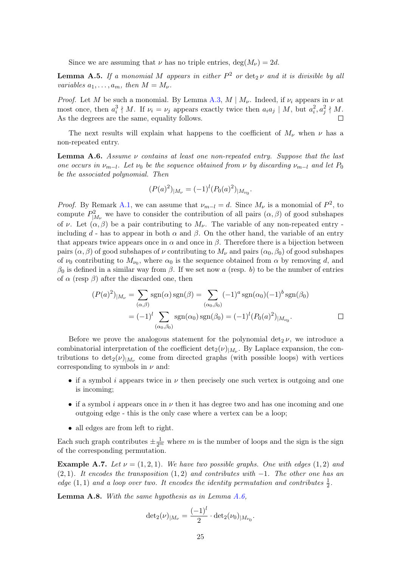Since we are assuming that  $\nu$  has no triple entries, deg( $M_{\nu}$ ) = 2d.

<span id="page-26-1"></span>**Lemma A.5.** If a monomial M appears in either  $P^2$  or  $\det_2 \nu$  and it is divisible by all variables  $a_1, \ldots, a_m$ , then  $M = M_{\nu}$ .

*Proof.* Let M be such a monomial. By Lemma [A.3,](#page-25-2)  $M \mid M_{\nu}$ . Indeed, if  $\nu_i$  appears in  $\nu$  at most once, then  $a_i^3 \nmid M$ . If  $\nu_i = \nu_j$  appears exactly twice then  $a_i a_j \mid M$ , but  $a_i^2, a_j^2 \nmid M$ . As the degrees are the same, equality follows.  $\overline{\phantom{a}}$ 

The next results will explain what happens to the coefficient of  $M_{\nu}$  when  $\nu$  has a non-repeated entry.

<span id="page-26-0"></span>**Lemma A.6.** Assume  $\nu$  contains at least one non-repeated entry. Suppose that the last one occurs in  $\nu_{m-l}$ . Let  $\nu_0$  be the sequence obtained from  $\nu$  by discarding  $\nu_{m-l}$  and let  $P_0$ be the associated polynomial. Then

$$
(P(a)^2)_{|M_{\nu}} = (-1)^l (P_0(a)^2)_{|M_{\nu_0}}.
$$

*Proof.* By Remark [A.1,](#page-25-1) we can assume that  $\nu_{m-l} = d$ . Since  $M_{\nu}$  is a monomial of  $P^2$ , to compute  $P_{|M_{\nu}}^2$  we have to consider the contribution of all pairs  $(\alpha, \beta)$  of good subshapes of v. Let  $(\alpha, \beta)$  be a pair contributing to  $M_{\nu}$ . The variable of any non-repeated entry including d - has to appear in both  $\alpha$  and  $\beta$ . On the other hand, the variable of an entry that appears twice appears once in  $\alpha$  and once in  $\beta$ . Therefore there is a bijection between pairs  $(\alpha, \beta)$  of good subshapes of  $\nu$  contributing to  $M_{\nu}$  and pairs  $(\alpha_0, \beta_0)$  of good subshapes of  $\nu_0$  contributing to  $M_{\nu_0}$ , where  $\alpha_0$  is the sequence obtained from  $\alpha$  by removing d, and  $β_0$  is defined in a similar way from  $β$ . If we set now a (resp. b) to be the number of entries of  $\alpha$  (resp  $\beta$ ) after the discarded one, then

$$
(P(a)^2)_{|M_{\nu}} = \sum_{(\alpha,\beta)} \text{sgn}(\alpha) \text{sgn}(\beta) = \sum_{(\alpha_0,\beta_0)} (-1)^a \text{sgn}(\alpha_0) (-1)^b \text{sgn}(\beta_0)
$$

$$
= (-1)^l \sum_{(\alpha_0,\beta_0)} \text{sgn}(\alpha_0) \text{sgn}(\beta_0) = (-1)^l (P_0(a)^2)_{|M_{\nu_0}}.
$$

Before we prove the analogous statement for the polynomial  $\det_2 \nu$ , we introduce a combinatorial interpretation of the coefficient  $\det_2(\nu)|_{M_{\nu}}$ . By Laplace expansion, the contributions to  $\det_2(\nu)|_{M_{\nu}}$  come from directed graphs (with possible loops) with vertices corresponding to symbols in  $\nu$  and:

- if a symbol i appears twice in  $\nu$  then precisely one such vertex is outgoing and one is incoming;
- if a symbol i appears once in  $\nu$  then it has degree two and has one incoming and one outgoing edge - this is the only case where a vertex can be a loop;
- all edges are from left to right.

Each such graph contributes  $\pm \frac{1}{2^m}$  where m is the number of loops and the sign is the sign of the corresponding permutation.

**Example A.7.** Let  $\nu = (1, 2, 1)$ . We have two possible graphs. One with edges  $(1, 2)$  and  $(2, 1)$ . It encodes the transposition  $(1, 2)$  and contributes with  $-1$ . The other one has an edge  $(1, 1)$  and a loop over two. It encodes the identity permutation and contributes  $\frac{1}{2}$ .

<span id="page-26-2"></span>**Lemma A.8.** With the same hypothesis as in Lemma  $A.\,6$ ,

$$
\det_2(\nu)_{|M_{\nu}} = \frac{(-1)^l}{2} \cdot \det_2(\nu_0)_{|M_{\nu_0}}.
$$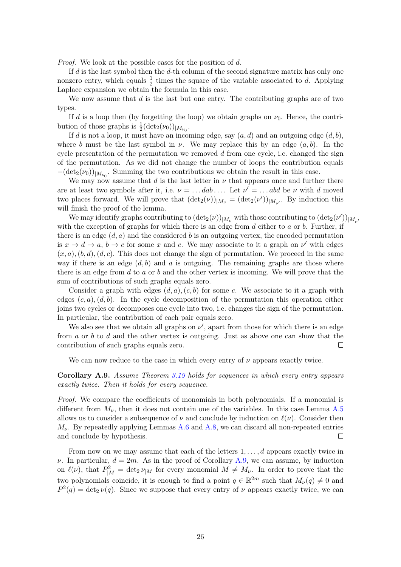Proof. We look at the possible cases for the position of d.

If  $d$  is the last symbol then the  $d$ -th column of the second signature matrix has only one nonzero entry, which equals  $\frac{1}{2}$  times the square of the variable associated to d. Applying Laplace expansion we obtain the formula in this case.

We now assume that  $d$  is the last but one entry. The contributing graphs are of two types.

If d is a loop then (by forgetting the loop) we obtain graphs on  $\nu_0$ . Hence, the contribution of those graphs is  $\frac{1}{2}(\det_2(\nu_0))_{|M_{\nu_0}}$ .

If d is not a loop, it must have an incoming edge, say  $(a, d)$  and an outgoing edge  $(d, b)$ , where b must be the last symbol in  $\nu$ . We may replace this by an edge  $(a, b)$ . In the cycle presentation of the permutation we removed  $d$  from one cycle, i.e. changed the sign of the permutation. As we did not change the number of loops the contribution equals  $-(\det_2(\nu_0))_{|M_{\nu_0}}$ . Summing the two contributions we obtain the result in this case.

We may now assume that d is the last letter in  $\nu$  that appears once and further there are at least two symbols after it, i.e.  $\nu = \dots da b \dots$  Let  $\nu' = \dots abd$  be  $\nu$  with d moved two places forward. We will prove that  $(\det_2(\nu))_{|M_{\nu}} = (\det_2(\nu'))_{|M_{\nu'}}$ . By induction this will finish the proof of the lemma.

We may identify graphs contributing to  $(\det_2(\nu))_{|M_{\nu}}$  with those contributing to  $(\det_2(\nu'))_{|M_{\nu'}}$ with the exception of graphs for which there is an edge from  $d$  either to  $a$  or  $b$ . Further, if there is an edge  $(d, a)$  and the considered b is an outgoing vertex, the encoded permutation is  $x \to d \to a$ ,  $b \to c$  for some x and c. We may associate to it a graph on  $\nu'$  with edges  $(x, a), (b, d), (d, c)$ . This does not change the sign of permutation. We proceed in the same way if there is an edge  $(d, b)$  and a is outgoing. The remaining graphs are those where there is an edge from  $d$  to  $a$  or  $b$  and the other vertex is incoming. We will prove that the sum of contributions of such graphs equals zero.

Consider a graph with edges  $(d, a)$ ,  $(c, b)$  for some c. We associate to it a graph with edges  $(c, a)$ ,  $(d, b)$ . In the cycle decomposition of the permutation this operation either joins two cycles or decomposes one cycle into two, i.e. changes the sign of the permutation. In particular, the contribution of each pair equals zero.

We also see that we obtain all graphs on  $\nu'$ , apart from those for which there is an edge from a or b to d and the other vertex is outgoing. Just as above one can show that the contribution of such graphs equals zero.  $\Box$ 

We can now reduce to the case in which every entry of  $\nu$  appears exactly twice.

<span id="page-27-0"></span>Corollary A.9. Assume Theorem [3.19](#page-23-0) holds for sequences in which every entry appears exactly twice. Then it holds for every sequence.

*Proof.* We compare the coefficients of monomials in both polynomials. If a monomial is different from  $M_{\nu}$ , then it does not contain one of the variables. In this case Lemma [A.5](#page-26-1) allows us to consider a subsequence of  $\nu$  and conclude by induction on  $\ell(\nu)$ . Consider then  $M_{\nu}$ . By repeatedly applying Lemmas [A.6](#page-26-0) and [A.8,](#page-26-2) we can discard all non-repeated entries and conclude by hypothesis.  $\Box$ 

From now on we may assume that each of the letters  $1, \ldots, d$  appears exactly twice in  $\nu$ . In particular,  $d = 2m$ . As in the proof of Corollary [A.9,](#page-27-0) we can assume, by induction on  $\ell(\nu)$ , that  $P_{|M}^2 = \det_2 \nu_{|M}$  for every monomial  $M \neq M_{\nu}$ . In order to prove that the two polynomials coincide, it is enough to find a point  $q \in \mathbb{R}^{2m}$  such that  $M_{\nu}(q) \neq 0$  and  $P^2(q) = \det_2 \nu(q)$ . Since we suppose that every entry of  $\nu$  appears exactly twice, we can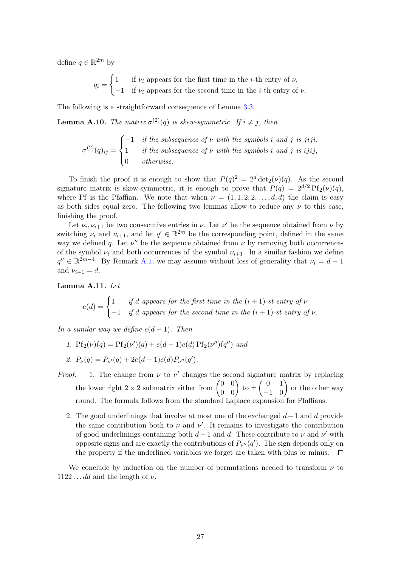define  $q \in \mathbb{R}^{2m}$  by

 $q_i =$  $\int 1$  if  $\nu_i$  appears for the first time in the *i*-th entry of  $\nu$ ,  $-1$  if  $\nu_i$  appears for the second time in the *i*-th entry of  $\nu$ .

The following is a straightforward consequence of Lemma [3.3.](#page-18-0)

**Lemma A.10.** The matrix  $\sigma^{(2)}(q)$  is skew-symmetric. If  $i \neq j$ , then

$$
\sigma^{(2)}(q)_{ij} = \begin{cases}\n-1 & \text{if the subsequence of } \nu \text{ with the symbols } i \text{ and } j \text{ is } jiji, \\
1 & \text{if the subsequence of } \nu \text{ with the symbols } i \text{ and } j \text{ is } ijij, \\
0 & \text{otherwise.} \n\end{cases}
$$

To finish the proof it is enough to show that  $P(q)^2 = 2^d \det_2(\nu)(q)$ . As the second signature matrix is skew-symmetric, it is enough to prove that  $P(q) = 2^{d/2} P f_2(\nu)(q)$ . where Pf is the Pfaffian. We note that when  $\nu = (1, 1, 2, 2, \ldots, d, d)$  the claim is easy as both sides equal zero. The following two lemmas allow to reduce any  $\nu$  to this case, finishing the proof.

Let  $\nu_i, \nu_{i+1}$  be two consecutive entries in  $\nu$ . Let  $\nu'$  be the sequence obtained from  $\nu$  by switching  $\nu_i$  and  $\nu_{i+1}$ , and let  $q' \in \mathbb{R}^{2m}$  be the corresponding point, defined in the same way we defined q. Let  $\nu''$  be the sequence obtained from  $\nu$  by removing both occurrences of the symbol  $\nu_i$  and both occurrences of the symbol  $\nu_{i+1}$ . In a similar fashion we define  $q'' \in \mathbb{R}^{2m-4}$ . By Remark [A.1,](#page-25-1) we may assume without loss of generality that  $\nu_i = d - 1$ and  $\nu_{i+1} = d$ .

Lemma A.11. Let

$$
e(d) = \begin{cases} 1 & \text{if } d \text{ appears for the first time in the } (i+1)\text{-}st \text{ entry of } \nu \\ -1 & \text{if } d \text{ appears for the second time in the } (i+1)\text{-}st \text{ entry of } \nu. \end{cases}
$$

In a similar way we define  $e(d-1)$ . Then

1.  $Pf_2(\nu)(q) = Pf_2(\nu')(q) + e(d-1)e(d) Pf_2(\nu'')(q'')$  and

2. 
$$
P_{\nu}(q) = P_{\nu'}(q) + 2e(d-1)e(d)P_{\nu''}(q').
$$

- *Proof.* 1. The change from  $\nu$  to  $\nu'$  changes the second signature matrix by replacing the lower right  $2 \times 2$  submatrix either from  $\begin{pmatrix} 0 & 0 \\ 0 & 0 \end{pmatrix}$  to  $\pm \begin{pmatrix} 0 & 1 \\ -1 & 0 \end{pmatrix}$  or the other way round. The formula follows from the standard Laplace expansion for Pfaffians.
	- 2. The good underlinings that involve at most one of the exchanged  $d-1$  and d provide the same contribution both to  $\nu$  and  $\nu'$ . It remains to investigate the contribution of good underlinings containing both  $d-1$  and d. These contribute to  $\nu$  and  $\nu'$  with opposite signs and are exactly the contributions of  $P_{\nu''}(q')$ . The sign depends only on the property if the underlined variables we forget are taken with plus or minus.  $\Box$

We conclude by induction on the number of permutations needed to transform  $\nu$  to  $1122 \ldots dd$  and the length of  $\nu$ .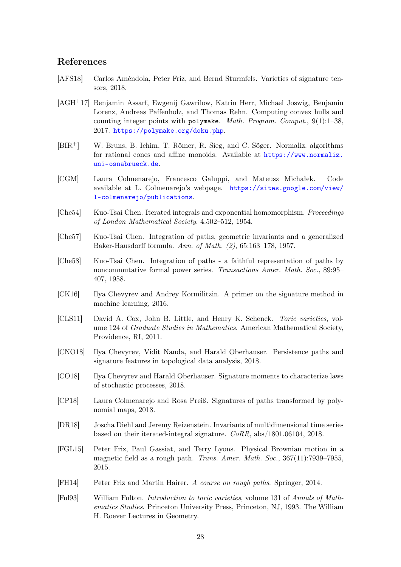# References

- <span id="page-29-5"></span>[AFS18] Carlos Améndola, Peter Friz, and Bernd Sturmfels. Varieties of signature tensors, 2018.
- <span id="page-29-14"></span>[AGH+17] Benjamin Assarf, Ewgenij Gawrilow, Katrin Herr, Michael Joswig, Benjamin Lorenz, Andreas Paffenholz, and Thomas Rehn. Computing convex hulls and counting integer points with polymake. Math. Program. Comput.,  $9(1)$ :1–38, 2017. <https://polymake.org/doku.php>.
- <span id="page-29-13"></span>[BIR+] W. Bruns, B. Ichim, T. Römer, R. Sieg, and C. Söger. Normaliz. algorithms for rational cones and affine monoids. Available at [https://www.normaliz.](https://www.normaliz.uni-osnabrueck.de) [uni-osnabrueck.de](https://www.normaliz.uni-osnabrueck.de).
- <span id="page-29-12"></span>[CGM] Laura Colmenarejo, Francesco Galuppi, and Mateusz Michałek. Code available at L. Colmenarejo's webpage. [https://sites.google.com/view/](https://sites.google.com/view/l-colmenarejo/publications) [l-colmenarejo/publications](https://sites.google.com/view/l-colmenarejo/publications).
- <span id="page-29-0"></span>[Che54] Kuo-Tsai Chen. Iterated integrals and exponential homomorphism. Proceedings of London Mathematical Society, 4:502–512, 1954.
- <span id="page-29-6"></span>[Che57] Kuo-Tsai Chen. Integration of paths, geometric invariants and a generalized Baker-Hausdorff formula. Ann. of Math. (2), 65:163–178, 1957.
- <span id="page-29-1"></span>[Che58] Kuo-Tsai Chen. Integration of paths - a faithful representation of paths by noncommutative formal power series. Transactions Amer. Math. Soc., 89:95– 407, 1958.
- <span id="page-29-2"></span>[CK16] Ilya Chevyrev and Andrey Kormilitzin. A primer on the signature method in machine learning, 2016.
- <span id="page-29-10"></span>[CLS11] David A. Cox, John B. Little, and Henry K. Schenck. Toric varieties, volume 124 of Graduate Studies in Mathematics. American Mathematical Society, Providence, RI, 2011.
- <span id="page-29-3"></span>[CNO18] Ilya Chevyrev, Vidit Nanda, and Harald Oberhauser. Persistence paths and signature features in topological data analysis, 2018.
- <span id="page-29-4"></span>[CO18] Ilya Chevyrev and Harald Oberhauser. Signature moments to characterize laws of stochastic processes, 2018.
- <span id="page-29-7"></span>[CP18] Laura Colmenarejo and Rosa Preiß. Signatures of paths transformed by polynomial maps, 2018.
- <span id="page-29-15"></span>[DR18] Joscha Diehl and Jeremy Reizenstein. Invariants of multidimensional time series based on their iterated-integral signature. CoRR, abs/1801.06104, 2018.
- <span id="page-29-8"></span>[FGL15] Peter Friz, Paul Gassiat, and Terry Lyons. Physical Brownian motion in a magnetic field as a rough path. Trans. Amer. Math. Soc., 367(11):7939–7955, 2015.
- <span id="page-29-9"></span>[FH14] Peter Friz and Martin Hairer. A course on rough paths. Springer, 2014.
- <span id="page-29-11"></span>[Ful93] William Fulton. Introduction to toric varieties, volume 131 of Annals of Mathematics Studies. Princeton University Press, Princeton, NJ, 1993. The William H. Roever Lectures in Geometry.